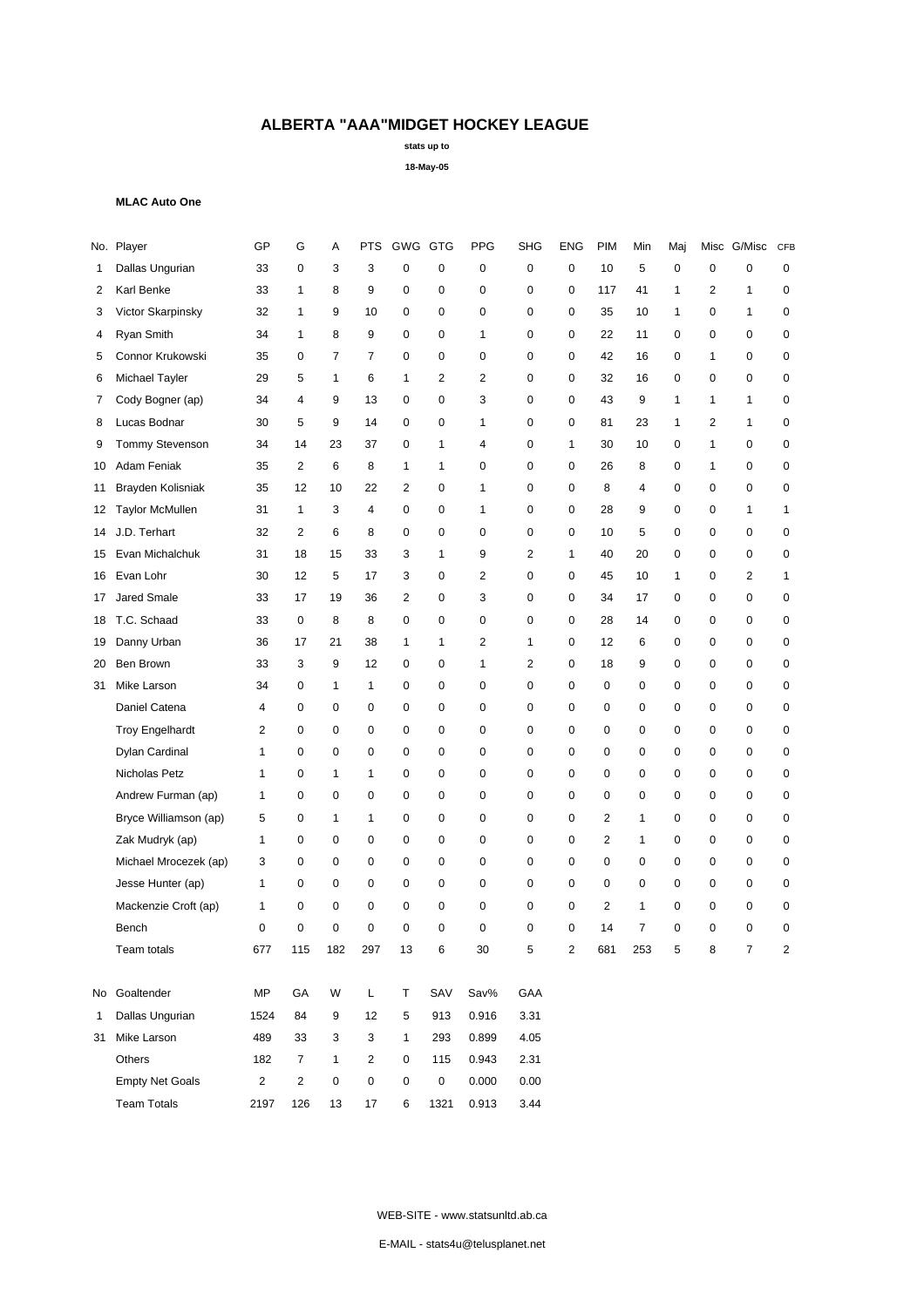**stats up to**

**18-May-05**

### **MLAC Auto One**

|              | No. Player             | GP           | G              | Α              | <b>PTS</b>     | GWG GTG        |                     | <b>PPG</b>     | <b>SHG</b>     | <b>ENG</b>              | <b>PIM</b>     | Min            | Maj |   | Misc G/Misc    | CFB            |
|--------------|------------------------|--------------|----------------|----------------|----------------|----------------|---------------------|----------------|----------------|-------------------------|----------------|----------------|-----|---|----------------|----------------|
| 1            | Dallas Ungurian        | 33           | $\mathbf 0$    | 3              | 3              | 0              | 0                   | 0              | 0              | 0                       | 10             | 5              | 0   | 0 | 0              | 0              |
| 2            | Karl Benke             | 33           | 1              | 8              | 9              | 0              | $\mathbf 0$         | $\mathbf 0$    | 0              | $\mathbf 0$             | 117            | 41             | 1   | 2 | 1              | 0              |
| 3            | Victor Skarpinsky      | 32           | $\mathbf{1}$   | 9              | 10             | 0              | $\mathbf 0$         | $\mathbf 0$    | 0              | $\mathbf 0$             | 35             | 10             | 1   | 0 | 1              | 0              |
| 4            | Ryan Smith             | 34           | $\mathbf{1}$   | 8              | 9              | 0              | $\mathbf 0$         | 1              | 0              | $\mathbf 0$             | 22             | 11             | 0   | 0 | $\mathbf 0$    | 0              |
| 5            | Connor Krukowski       | 35           | 0              | $\overline{7}$ | $\overline{7}$ | 0              | $\mathbf 0$         | 0              | 0              | 0                       | 42             | 16             | 0   | 1 | $\mathbf 0$    | 0              |
| 6            | Michael Tayler         | 29           | 5              | $\mathbf{1}$   | 6              | $\mathbf{1}$   | 2                   | $\overline{2}$ | 0              | $\mathbf 0$             | 32             | 16             | 0   | 0 | $\mathbf 0$    | 0              |
| 7            | Cody Bogner (ap)       | 34           | 4              | 9              | 13             | 0              | $\mathbf 0$         | 3              | 0              | $\mathbf 0$             | 43             | 9              | 1   | 1 | 1              | 0              |
| 8            | Lucas Bodnar           | 30           | 5              | 9              | 14             | 0              | 0                   | 1              | 0              | $\mathbf 0$             | 81             | 23             | 1   | 2 | $\mathbf{1}$   | 0              |
| 9            | <b>Tommy Stevenson</b> | 34           | 14             | 23             | 37             | 0              | $\mathbf{1}$        | 4              | 0              | $\mathbf{1}$            | 30             | 10             | 0   | 1 | $\mathbf 0$    | 0              |
| 10           | Adam Feniak            | 35           | $\overline{2}$ | 6              | 8              | 1              | $\mathbf{1}$        | 0              | 0              | $\mathbf 0$             | 26             | 8              | 0   | 1 | $\mathbf 0$    | 0              |
| 11           | Brayden Kolisniak      | 35           | 12             | 10             | 22             | $\overline{2}$ | $\mathbf 0$         | 1              | 0              | $\mathbf 0$             | 8              | 4              | 0   | 0 | $\mathbf 0$    | 0              |
| 12           | <b>Taylor McMullen</b> | 31           | $\mathbf{1}$   | 3              | 4              | 0              | $\mathbf 0$         | 1              | 0              | $\mathbf 0$             | 28             | 9              | 0   | 0 | 1              | 1              |
| 14           | J.D. Terhart           | 32           | $\overline{2}$ | 6              | 8              | 0              | $\mathbf 0$         | $\mathbf 0$    | 0              | $\mathbf 0$             | 10             | 5              | 0   | 0 | $\mathbf 0$    | 0              |
| 15           | Evan Michalchuk        | 31           | 18             | 15             | 33             | 3              | $\mathbf{1}$        | 9              | 2              | $\mathbf{1}$            | 40             | 20             | 0   | 0 | $\mathbf 0$    | 0              |
| 16           | Evan Lohr              | 30           | 12             | 5              | 17             | 3              | $\mathbf 0$         | 2              | 0              | $\mathbf 0$             | 45             | 10             | 1   | 0 | 2              | 1              |
| 17           | Jared Smale            | 33           | 17             | 19             | 36             | $\overline{2}$ | $\mathbf 0$         | 3              | 0              | $\mathbf 0$             | 34             | 17             | 0   | 0 | $\mathbf 0$    | 0              |
| 18           | T.C. Schaad            | 33           | $\mathbf 0$    | 8              | 8              | 0              | $\mathbf 0$         | $\mathbf 0$    | 0              | 0                       | 28             | 14             | 0   | 0 | $\mathbf 0$    | 0              |
| 19           | Danny Urban            | 36           | 17             | 21             | 38             | $\mathbf{1}$   | $\mathbf{1}$        | 2              | 1              | $\mathbf 0$             | 12             | 6              | 0   | 0 | $\mathbf 0$    | 0              |
| 20           | Ben Brown              | 33           | 3              | 9              | 12             | $\mathbf 0$    | $\mathbf 0$         | 1              | $\overline{2}$ | $\mathbf 0$             | 18             | 9              | 0   | 0 | $\mathbf 0$    | 0              |
| 31           | Mike Larson            | 34           | 0              | 1              | $\mathbf{1}$   | 0              | $\mathbf 0$         | $\mathbf 0$    | 0              | $\mathbf 0$             | 0              | 0              | 0   | 0 | $\mathbf 0$    | 0              |
|              | Daniel Catena          | 4            | 0              | $\mathbf 0$    | 0              | 0              | $\mathbf 0$         | 0              | 0              | 0                       | 0              | 0              | 0   | 0 | $\mathbf 0$    | 0              |
|              | <b>Troy Engelhardt</b> | 2            | $\mathbf 0$    | 0              | 0              | 0              | $\mathbf 0$         | 0              | 0              | $\mathbf 0$             | $\mathbf 0$    | $\mathbf 0$    | 0   | 0 | $\mathbf 0$    | 0              |
|              | Dylan Cardinal         | 1            | $\mathbf 0$    | $\mathbf 0$    | $\mathbf 0$    | 0              | $\mathbf 0$         | $\mathbf 0$    | 0              | $\mathbf 0$             | $\mathbf 0$    | 0              | 0   | 0 | $\mathbf 0$    | 0              |
|              | Nicholas Petz          | $\mathbf{1}$ | $\mathbf 0$    | 1              | 1              | 0              | $\mathbf 0$         | $\mathbf 0$    | 0              | $\mathbf 0$             | $\mathbf 0$    | 0              | 0   | 0 | $\mathbf 0$    | 0              |
|              | Andrew Furman (ap)     | $\mathbf{1}$ | $\mathbf 0$    | $\mathbf 0$    | 0              | 0              | $\mathbf 0$         | $\mathbf 0$    | 0              | $\mathbf 0$             | $\mathbf 0$    | 0              | 0   | 0 | $\mathbf 0$    | 0              |
|              | Bryce Williamson (ap)  | 5            | 0              | 1              | 1              | 0              | 0                   | 0              | 0              | $\mathbf 0$             | $\overline{2}$ | 1              | 0   | 0 | $\mathbf 0$    | 0              |
|              | Zak Mudryk (ap)        | 1            | $\mathbf 0$    | $\mathbf 0$    | 0              | 0              | $\mathbf 0$         | $\mathbf 0$    | 0              | $\mathbf 0$             | $\overline{2}$ | $\mathbf{1}$   | 0   | 0 | $\mathbf 0$    | 0              |
|              | Michael Mrocezek (ap)  | 3            | $\mathbf 0$    | $\mathbf 0$    | 0              | 0              | $\mathbf 0$         | 0              | 0              | $\mathbf 0$             | $\mathbf 0$    | 0              | 0   | 0 | $\mathbf 0$    | 0              |
|              | Jesse Hunter (ap)      | 1            | $\mathbf 0$    | $\mathbf 0$    | 0              | 0              | $\mathbf 0$         | $\mathbf 0$    | 0              | $\mathbf 0$             | $\mathbf 0$    | 0              | 0   | 0 | $\mathbf 0$    | 0              |
|              | Mackenzie Croft (ap)   | 1            | 0              | 0              | 0              | 0              | 0                   | $\mathbf 0$    | 0              | 0                       | $\overline{2}$ | 1              | 0   | 0 | 0              | 0              |
|              | Bench                  | $\mathbf 0$  | $\mathbf 0$    | $\mathbf 0$    | $\mathbf 0$    | 0              | $\mathbf 0$         | $\mathbf 0$    | 0              | $\mathbf 0$             | 14             | $\overline{7}$ | 0   | 0 | $\mathbf 0$    | $\mathbf 0$    |
|              | Team totals            | 677          | 115            | 182            | 297            | 13             | 6                   | 30             | 5              | $\overline{\mathbf{c}}$ | 681            | 253            | 5   | 8 | $\overline{7}$ | $\overline{2}$ |
| No           | Goaltender             | MP           | GA             | W              | L              | т              | SAV                 | Sav%           | GAA            |                         |                |                |     |   |                |                |
| $\mathbf{1}$ | Dallas Ungurian        | 1524         | 84             | 9              | 12             | 5              | 913                 | 0.916          | 3.31           |                         |                |                |     |   |                |                |
| 31           | Mike Larson            | 489          | 33             | 3              | 3              | 1              | 293                 | 0.899          | 4.05           |                         |                |                |     |   |                |                |
|              | Others                 | 182          | $\overline{7}$ | $\mathbf{1}$   | $\overline{c}$ | 0              | 115                 | 0.943          | 2.31           |                         |                |                |     |   |                |                |
|              | <b>Empty Net Goals</b> | $\mathbf 2$  | $\sqrt{2}$     | $\pmb{0}$      | $\pmb{0}$      | 0              | $\mathsf{O}\xspace$ | 0.000          | 0.00           |                         |                |                |     |   |                |                |
|              | <b>Team Totals</b>     | 2197         | 126            | 13             | $17\,$         | 6              | 1321                | 0.913          | 3.44           |                         |                |                |     |   |                |                |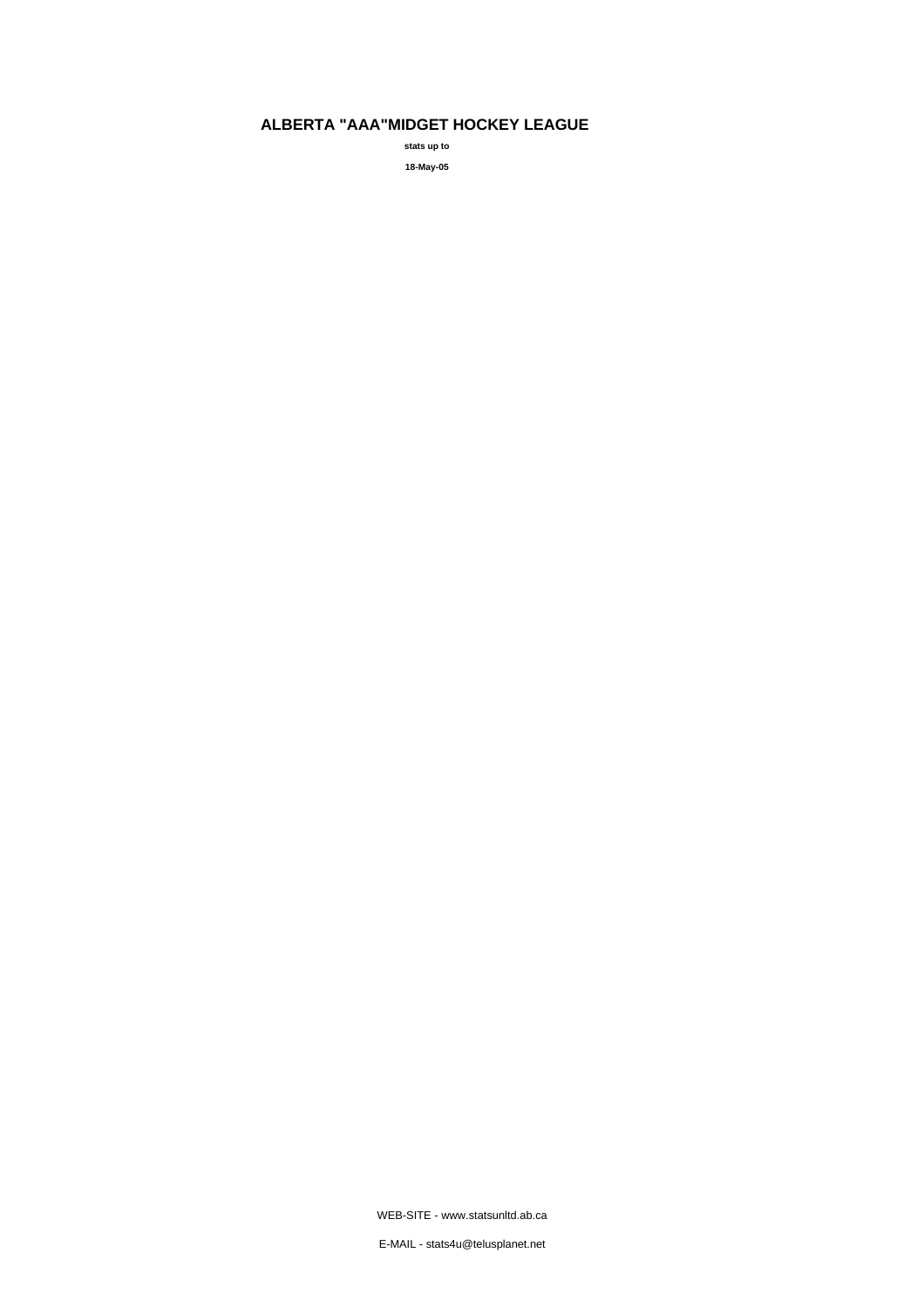**stats up to 18-May-05**

WEB-SITE - www.statsunltd.ab.ca

E-MAIL - stats4u@telusplanet.net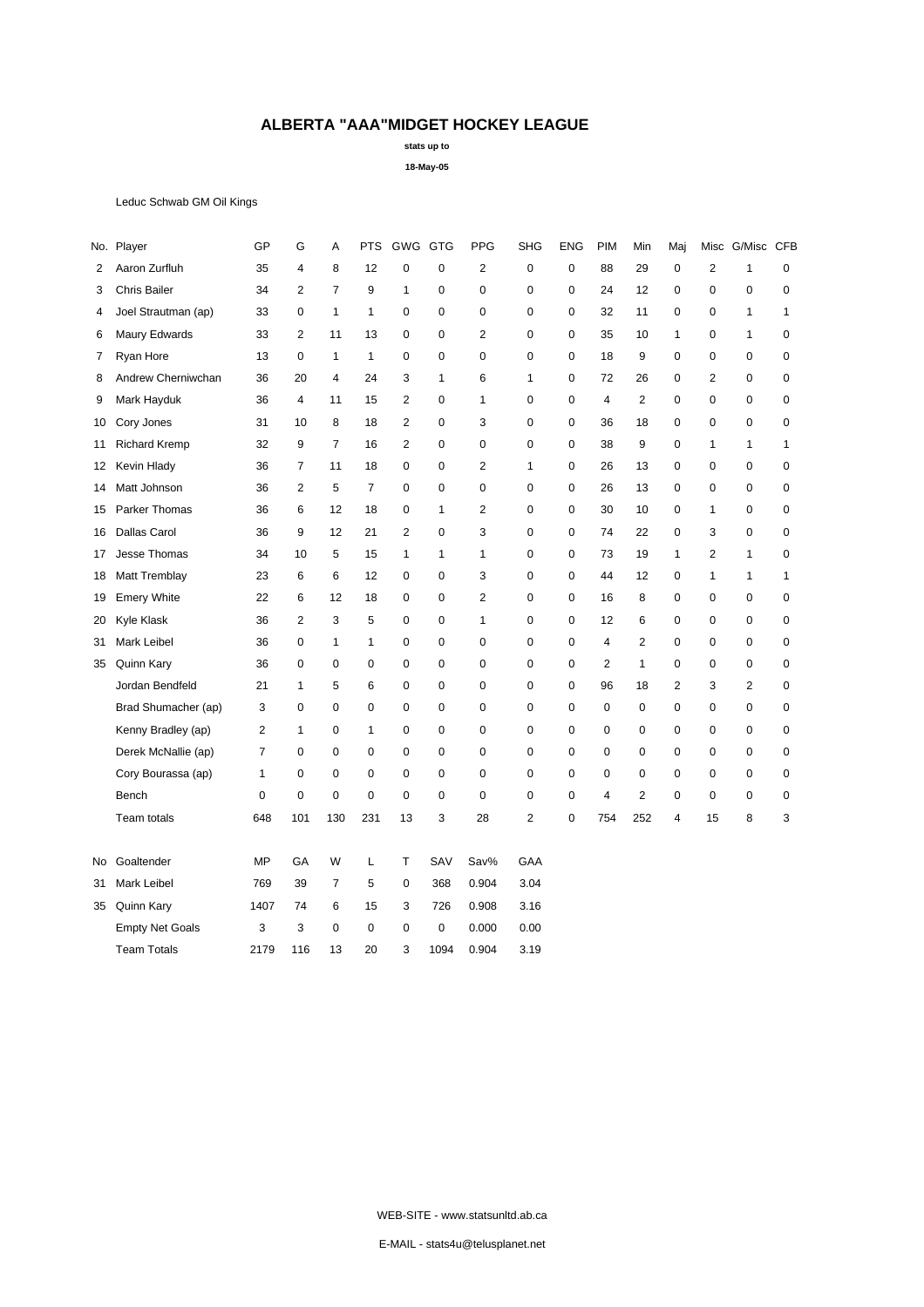**stats up to**

**18-May-05**

Leduc Schwab GM Oil Kings

|     | No. Player             | GP             | G                       | Α              | <b>PTS</b>     | GWG GTG        |              | <b>PPG</b>     | <b>SHG</b>     | <b>ENG</b>  | <b>PIM</b>     | Min            | Maj            | Misc           | G/Misc CFB     |              |
|-----|------------------------|----------------|-------------------------|----------------|----------------|----------------|--------------|----------------|----------------|-------------|----------------|----------------|----------------|----------------|----------------|--------------|
| 2   | Aaron Zurfluh          | 35             | $\overline{\mathbf{4}}$ | 8              | 12             | 0              | 0            | $\overline{c}$ | $\mathbf 0$    | $\mathbf 0$ | 88             | 29             | 0              | $\overline{2}$ | 1              | 0            |
| 3   | <b>Chris Bailer</b>    | 34             | $\overline{2}$          | $\overline{7}$ | 9              | 1              | 0            | 0              | $\mathbf 0$    | $\mathbf 0$ | 24             | 12             | 0              | $\mathbf 0$    | $\mathbf 0$    | 0            |
| 4   | Joel Strautman (ap)    | 33             | $\mathbf 0$             | 1              | 1              | 0              | 0            | 0              | 0              | $\mathbf 0$ | 32             | 11             | 0              | 0              | 1              | 1            |
| 6   | Maury Edwards          | 33             | $\overline{2}$          | 11             | 13             | 0              | $\Omega$     | $\overline{2}$ | 0              | $\mathbf 0$ | 35             | 10             | 1              | $\mathbf 0$    | $\mathbf{1}$   | $\mathbf 0$  |
| 7   | Ryan Hore              | 13             | 0                       | 1              | 1              | 0              | 0            | 0              | 0              | 0           | 18             | 9              | 0              | $\mathbf 0$    | $\mathbf 0$    | 0            |
| 8   | Andrew Cherniwchan     | 36             | 20                      | $\overline{4}$ | 24             | 3              | $\mathbf{1}$ | 6              | $\mathbf{1}$   | $\mathbf 0$ | 72             | 26             | 0              | $\overline{2}$ | $\mathbf 0$    | $\pmb{0}$    |
| 9   | Mark Hayduk            | 36             | 4                       | 11             | 15             | $\overline{2}$ | $\mathbf 0$  | 1              | $\mathbf 0$    | $\mathbf 0$ | $\overline{4}$ | 2              | 0              | 0              | $\mathbf 0$    | 0            |
| 10  | Cory Jones             | 31             | 10                      | 8              | 18             | $\overline{2}$ | $\Omega$     | 3              | 0              | $\mathbf 0$ | 36             | 18             | 0              | $\mathbf 0$    | $\mathbf 0$    | $\mathbf 0$  |
| 11  | <b>Richard Kremp</b>   | 32             | 9                       | 7              | 16             | $\overline{2}$ | 0            | 0              | $\mathbf 0$    | $\mathbf 0$ | 38             | 9              | 0              | $\mathbf{1}$   | $\mathbf{1}$   | 1            |
| 12  | Kevin Hlady            | 36             | $\overline{7}$          | 11             | 18             | 0              | 0            | $\overline{2}$ | $\mathbf{1}$   | $\mathbf 0$ | 26             | 13             | 0              | 0              | $\mathbf 0$    | $\pmb{0}$    |
| 14  | Matt Johnson           | 36             | $\overline{2}$          | 5              | $\overline{7}$ | 0              | 0            | 0              | 0              | $\mathbf 0$ | 26             | 13             | 0              | $\mathbf 0$    | $\mathbf 0$    | $\mathbf 0$  |
| 15  | Parker Thomas          | 36             | 6                       | 12             | 18             | 0              | 1            | $\overline{2}$ | $\mathbf 0$    | 0           | 30             | 10             | 0              | $\mathbf{1}$   | 0              | $\pmb{0}$    |
| 16  | <b>Dallas Carol</b>    | 36             | 9                       | 12             | 21             | $\overline{c}$ | 0            | 3              | $\mathbf 0$    | $\mathsf 0$ | 74             | 22             | 0              | 3              | $\mathbf 0$    | $\pmb{0}$    |
| 17  | Jesse Thomas           | 34             | 10                      | 5              | 15             | $\mathbf{1}$   | $\mathbf{1}$ | 1              | $\mathbf 0$    | $\mathbf 0$ | 73             | 19             | 1              | $\overline{2}$ | 1              | 0            |
| 18  | Matt Tremblay          | 23             | 6                       | 6              | 12             | $\mathbf 0$    | $\mathbf 0$  | 3              | 0              | $\mathbf 0$ | 44             | 12             | 0              | $\mathbf{1}$   | $\mathbf{1}$   | $\mathbf{1}$ |
| 19  | <b>Emery White</b>     | 22             | 6                       | 12             | 18             | 0              | $\mathbf 0$  | $\overline{2}$ | 0              | 0           | 16             | 8              | 0              | 0              | 0              | $\pmb{0}$    |
| 20  | Kyle Klask             | 36             | $\overline{2}$          | 3              | 5              | 0              | 0            | 1              | $\mathbf 0$    | $\mathbf 0$ | 12             | 6              | 0              | 0              | $\mathbf 0$    | 0            |
| 31  | <b>Mark Leibel</b>     | 36             | $\mathbf 0$             | 1              | 1              | 0              | 0            | 0              | 0              | $\mathbf 0$ | $\overline{4}$ | $\overline{2}$ | 0              | 0              | $\mathbf 0$    | 0            |
| 35  | Quinn Kary             | 36             | $\mathbf 0$             | 0              | $\mathbf 0$    | 0              | 0            | 0              | $\mathbf 0$    | 0           | $\mathbf{2}$   | $\mathbf{1}$   | 0              | 0              | 0              | 0            |
|     | Jordan Bendfeld        | 21             | $\mathbf{1}$            | 5              | 6              | 0              | 0            | 0              | $\mathbf 0$    | $\pmb{0}$   | 96             | 18             | $\overline{2}$ | 3              | $\overline{2}$ | $\pmb{0}$    |
|     | Brad Shumacher (ap)    | 3              | 0                       | 0              | $\mathbf 0$    | 0              | $\mathbf 0$  | $\mathbf 0$    | $\mathbf 0$    | $\mathbf 0$ | $\mathbf 0$    | 0              | 0              | $\mathbf 0$    | $\mathbf 0$    | 0            |
|     | Kenny Bradley (ap)     | $\overline{2}$ | $\mathbf{1}$            | 0              | $\mathbf{1}$   | 0              | $\Omega$     | 0              | $\mathbf 0$    | $\mathbf 0$ | $\mathbf 0$    | $\mathbf 0$    | 0              | 0              | $\mathbf 0$    | $\pmb{0}$    |
|     | Derek McNallie (ap)    | 7              | 0                       | 0              | 0              | 0              | $\mathbf 0$  | 0              | 0              | $\mathbf 0$ | $\mathbf 0$    | $\mathbf 0$    | 0              | 0              | 0              | 0            |
|     | Cory Bourassa (ap)     | $\mathbf{1}$   | $\mathbf 0$             | 0              | $\mathbf 0$    | $\mathbf 0$    | 0            | 0              | $\mathbf 0$    | $\mathbf 0$ | $\mathbf 0$    | $\mathsf 0$    | 0              | 0              | $\mathbf 0$    | 0            |
|     | Bench                  | $\mathbf 0$    | 0                       | $\mathbf 0$    | $\mathbf 0$    | 0              | $\mathbf 0$  | 0              | 0              | $\mathbf 0$ | $\overline{4}$ | 2              | 0              | 0              | $\mathbf 0$    | 0            |
|     | Team totals            | 648            | 101                     | 130            | 231            | 13             | 3            | 28             | $\overline{2}$ | $\mathbf 0$ | 754            | 252            | 4              | 15             | 8              | 3            |
| No. | Goaltender             | <b>MP</b>      | GA                      | W              | L              | т              | SAV          | Sav%           | GAA            |             |                |                |                |                |                |              |
| 31  | <b>Mark Leibel</b>     | 769            | 39                      | $\overline{7}$ | 5              | $\mathbf 0$    | 368          | 0.904          | 3.04           |             |                |                |                |                |                |              |
| 35  | Quinn Kary             | 1407           | 74                      | 6              | 15             | 3              | 726          | 0.908          | 3.16           |             |                |                |                |                |                |              |
|     | <b>Empty Net Goals</b> | 3              | 3                       | 0              | 0              | 0              | 0            | 0.000          | 0.00           |             |                |                |                |                |                |              |
|     | <b>Team Totals</b>     | 2179           | 116                     | 13             | 20             | 3              | 1094         | 0.904          | 3.19           |             |                |                |                |                |                |              |

WEB-SITE - www.statsunltd.ab.ca

E-MAIL - stats4u@telusplanet.net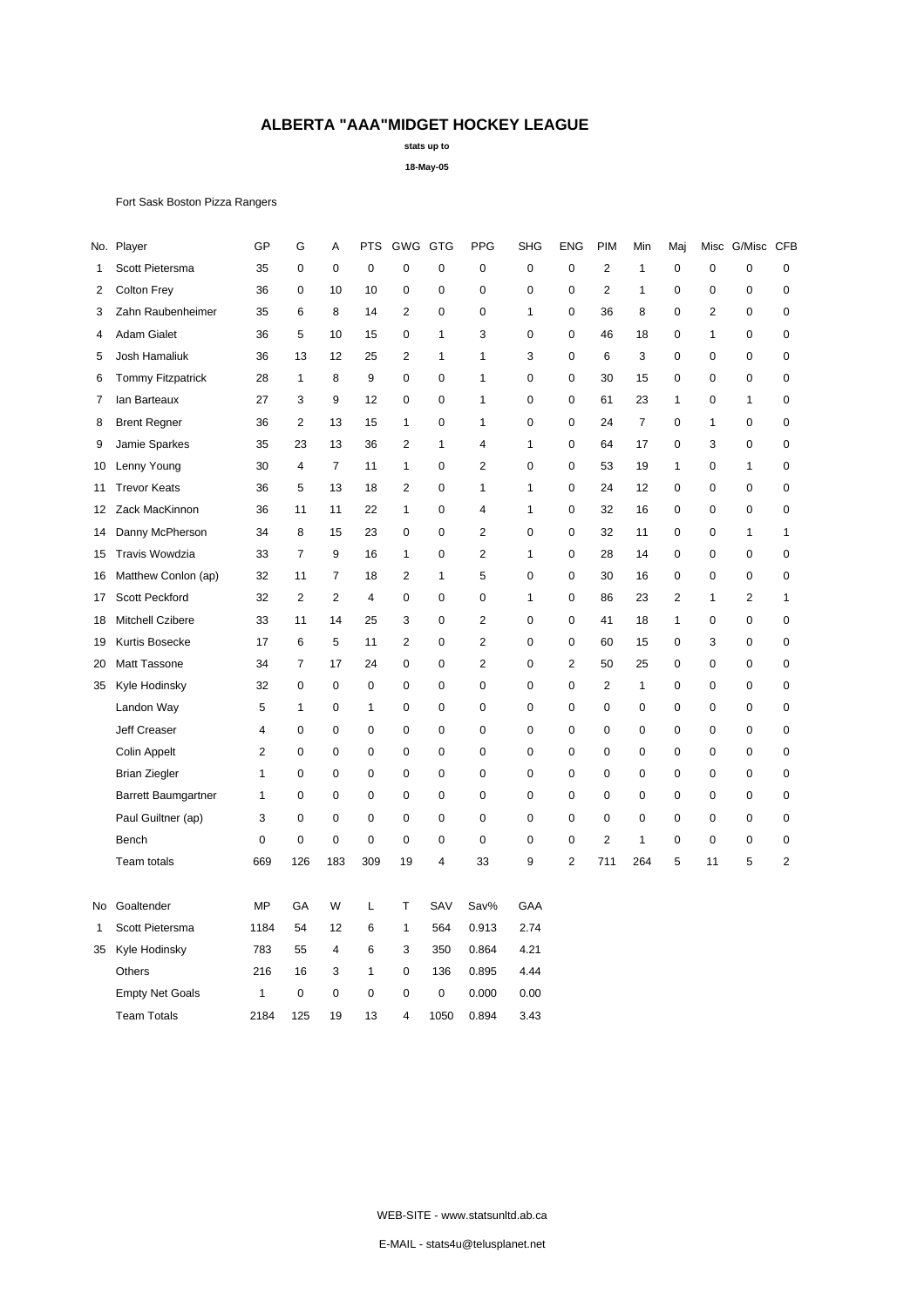**stats up to**

**18-May-05**

Fort Sask Boston Pizza Rangers

|    | No. Player                 | GP        | G              | А              | PTS         | GWG GTG        |             | <b>PPG</b>     | <b>SHG</b>   | <b>ENG</b>     | <b>PIM</b>     | Min            | Maj              | Misc           | G/Misc CFB     |                |
|----|----------------------------|-----------|----------------|----------------|-------------|----------------|-------------|----------------|--------------|----------------|----------------|----------------|------------------|----------------|----------------|----------------|
| 1  | Scott Pietersma            | 35        | $\mathbf 0$    | 0              | $\mathbf 0$ | $\mathbf 0$    | $\mathbf 0$ | $\mathbf 0$    | $\mathbf 0$  | $\mathbf 0$    | $\overline{2}$ | $\mathbf{1}$   | 0                | $\mathbf 0$    | $\mathbf 0$    | $\pmb{0}$      |
| 2  | <b>Colton Frey</b>         | 36        | $\mathbf 0$    | 10             | 10          | 0              | 0           | $\mathbf 0$    | $\mathbf 0$  | 0              | $\overline{2}$ | 1              | $\mathbf 0$      | $\mathbf 0$    | 0              | $\pmb{0}$      |
| 3  | Zahn Raubenheimer          | 35        | 6              | 8              | 14          | $\overline{c}$ | 0           | $\mathbf 0$    | $\mathbf{1}$ | 0              | 36             | 8              | $\mathbf 0$      | $\overline{2}$ | 0              | $\pmb{0}$      |
| 4  | <b>Adam Gialet</b>         | 36        | 5              | 10             | 15          | 0              | 1           | 3              | 0            | 0              | 46             | 18             | 0                | $\mathbf{1}$   | 0              | 0              |
| 5  | Josh Hamaliuk              | 36        | 13             | 12             | 25          | $\overline{2}$ | 1           | $\mathbf{1}$   | 3            | 0              | 6              | 3              | 0                | $\mathbf 0$    | 0              | $\pmb{0}$      |
| 6  | <b>Tommy Fitzpatrick</b>   | 28        | $\mathbf{1}$   | 8              | 9           | $\mathbf 0$    | 0           | $\mathbf{1}$   | $\pmb{0}$    | 0              | 30             | 15             | $\boldsymbol{0}$ | $\mathbf 0$    | 0              | $\pmb{0}$      |
| 7  | lan Barteaux               | 27        | 3              | 9              | 12          | 0              | 0           | 1              | $\mathbf 0$  | 0              | 61             | 23             | 1                | 0              | 1              | 0              |
| 8  | <b>Brent Regner</b>        | 36        | $\overline{2}$ | 13             | 15          | 1              | 0           | $\mathbf{1}$   | $\mathbf 0$  | 0              | 24             | $\overline{7}$ | 0                | $\mathbf{1}$   | 0              | $\pmb{0}$      |
| 9  | Jamie Sparkes              | 35        | 23             | 13             | 36          | 2              | 1           | $\overline{4}$ | $\mathbf{1}$ | 0              | 64             | 17             | 0                | 3              | 0              | 0              |
| 10 | Lenny Young                | 30        | 4              | $\overline{7}$ | 11          | 1              | 0           | $\overline{2}$ | $\mathbf 0$  | 0              | 53             | 19             | 1                | $\mathbf 0$    | $\mathbf{1}$   | $\pmb{0}$      |
| 11 | <b>Trevor Keats</b>        | 36        | 5              | 13             | 18          | $\overline{2}$ | 0           | $\mathbf{1}$   | $\mathbf{1}$ | 0              | 24             | 12             | 0                | $\mathbf 0$    | 0              | $\pmb{0}$      |
| 12 | Zack MacKinnon             | 36        | 11             | 11             | 22          | 1              | 0           | $\overline{4}$ | $\mathbf{1}$ | 0              | 32             | 16             | 0                | 0              | 0              | 0              |
| 14 | Danny McPherson            | 34        | 8              | 15             | 23          | 0              | 0           | $\overline{2}$ | $\mathbf 0$  | 0              | 32             | 11             | 0                | 0              | 1              | $\mathbf{1}$   |
| 15 | <b>Travis Wowdzia</b>      | 33        | $\overline{7}$ | 9              | 16          | $\mathbf{1}$   | 0           | $\overline{2}$ | 1            | 0              | 28             | 14             | 0                | $\mathbf 0$    | 0              | $\pmb{0}$      |
| 16 | Matthew Conlon (ap)        | 32        | 11             | 7              | 18          | $\overline{2}$ | 1           | 5              | $\mathbf 0$  | 0              | 30             | 16             | 0                | 0              | 0              | 0              |
| 17 | Scott Peckford             | 32        | $\overline{2}$ | $\overline{c}$ | 4           | 0              | 0           | $\mathbf 0$    | $\mathbf{1}$ | 0              | 86             | 23             | $\overline{2}$   | $\mathbf{1}$   | $\overline{2}$ | $\mathbf{1}$   |
| 18 | Mitchell Czibere           | 33        | 11             | 14             | 25          | 3              | 0           | $\overline{2}$ | $\mathbf 0$  | 0              | 41             | 18             | $\mathbf{1}$     | $\mathbf 0$    | 0              | $\pmb{0}$      |
| 19 | Kurtis Bosecke             | 17        | 6              | 5              | 11          | $\overline{2}$ | 0           | $\overline{2}$ | $\mathbf 0$  | 0              | 60             | 15             | 0                | 3              | 0              | 0              |
| 20 | <b>Matt Tassone</b>        | 34        | $\overline{7}$ | 17             | 24          | $\overline{0}$ | 0           | $\overline{2}$ | $\mathbf 0$  | 2              | 50             | 25             | 0                | $\mathbf 0$    | 0              | $\pmb{0}$      |
| 35 | Kyle Hodinsky              | 32        | 0              | 0              | 0           | 0              | 0           | 0              | 0            | 0              | 2              | 1              | 0                | 0              | 0              | 0              |
|    | Landon Way                 | 5         | 1              | 0              | 1           | 0              | 0           | $\mathbf 0$    | $\mathbf 0$  | 0              | $\mathbf 0$    | $\mathbf 0$    | 0                | $\mathbf 0$    | 0              | $\pmb{0}$      |
|    | Jeff Creaser               | 4         | $\mathbf 0$    | 0              | $\mathbf 0$ | 0              | 0           | $\mathbf 0$    | $\mathbf 0$  | 0              | $\mathbf 0$    | $\pmb{0}$      | $\mathbf 0$      | $\mathbf 0$    | 0              | $\pmb{0}$      |
|    | Colin Appelt               | 2         | 0              | 0              | 0           | 0              | 0           | 0              | $\pmb{0}$    | 0              | $\mathbf 0$    | $\mathbf 0$    | 0                | 0              | 0              | 0              |
|    | <b>Brian Ziegler</b>       | 1         | $\pmb{0}$      | 0              | $\mathbf 0$ | 0              | 0           | $\mathbf 0$    | $\mathbf 0$  | 0              | 0              | $\mathbf 0$    | $\mathbf 0$      | $\mathbf 0$    | 0              | $\pmb{0}$      |
|    | <b>Barrett Baumgartner</b> | 1         | 0              | 0              | $\mathbf 0$ | 0              | 0           | $\mathbf 0$    | $\mathbf 0$  | 0              | 0              | 0              | $\mathbf 0$      | $\mathbf 0$    | 0              | $\pmb{0}$      |
|    | Paul Guiltner (ap)         | 3         | 0              | 0              | 0           | 0              | 0           | 0              | $\mathbf 0$  | 0              | 0              | $\mathbf 0$    | 0                | 0              | 0              | 0              |
|    | Bench                      | 0         | $\pmb{0}$      | $\pmb{0}$      | $\mathbf 0$ | 0              | 0           | $\mathbf 0$    | $\mathbf 0$  | 0              | $\overline{c}$ | $\mathbf{1}$   | $\pmb{0}$        | $\mathbf 0$    | 0              | $\pmb{0}$      |
|    | Team totals                | 669       | 126            | 183            | 309         | 19             | 4           | 33             | 9            | $\overline{2}$ | 711            | 264            | 5                | 11             | 5              | $\overline{c}$ |
| No | Goaltender                 | <b>MP</b> | GA             | W              | Г           | Т              | SAV         | Sav%           | GAA          |                |                |                |                  |                |                |                |
| 1  | Scott Pietersma            | 1184      | 54             | 12             | 6           | 1              | 564         | 0.913          | 2.74         |                |                |                |                  |                |                |                |
| 35 | Kyle Hodinsky              | 783       | 55             | $\overline{4}$ | 6           | 3              | 350         | 0.864          | 4.21         |                |                |                |                  |                |                |                |
|    | Others                     | 216       | 16             | 3              | 1           | 0              | 136         | 0.895          | 4.44         |                |                |                |                  |                |                |                |
|    | <b>Empty Net Goals</b>     | 1         | 0              | 0              | 0           | 0              | 0           | 0.000          | 0.00         |                |                |                |                  |                |                |                |
|    | <b>Team Totals</b>         | 2184      | 125            | 19             | 13          | 4              | 1050        | 0.894          | 3.43         |                |                |                |                  |                |                |                |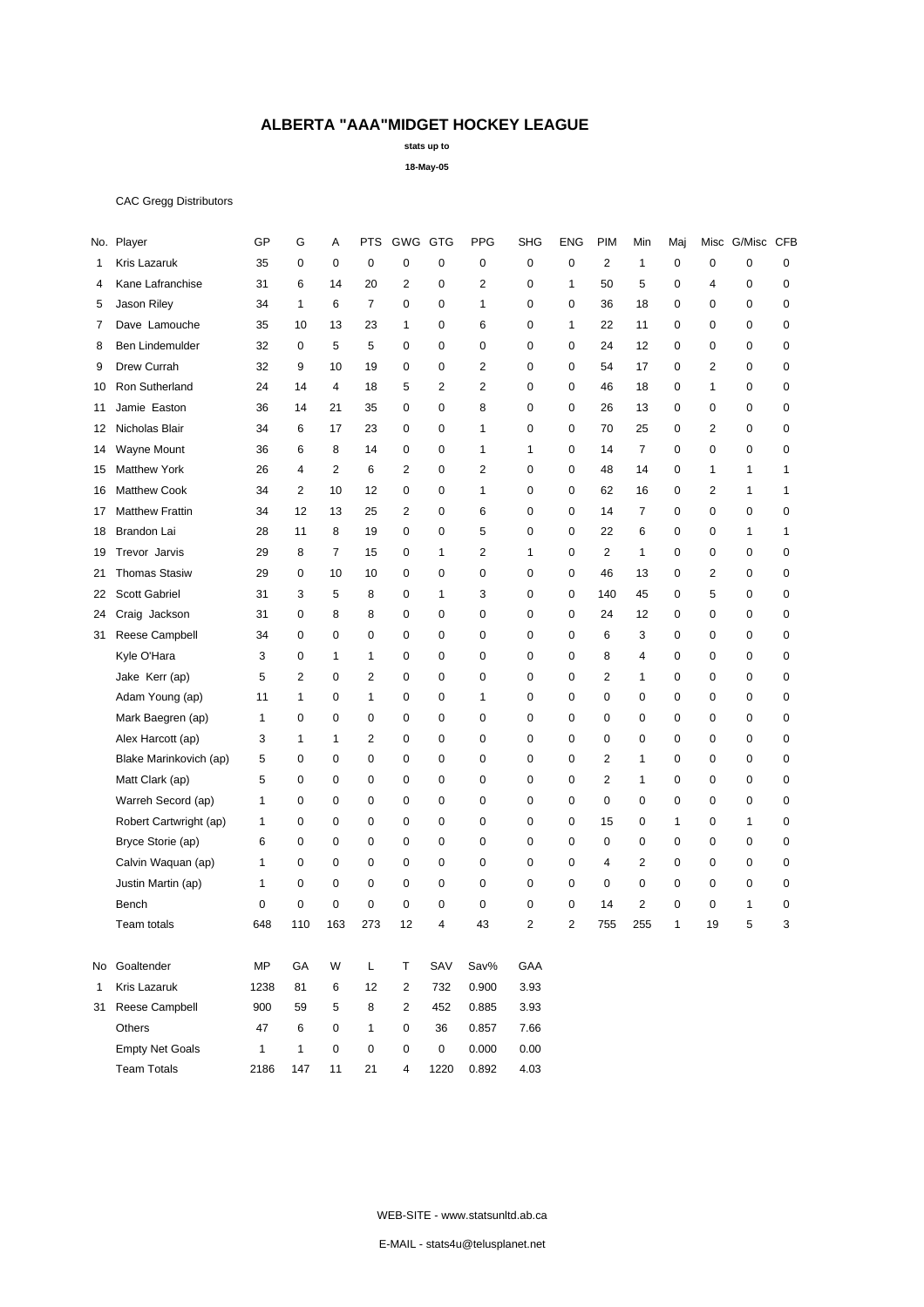**stats up to**

**18-May-05**

### CAC Gregg Distributors

|     | No. Player             | GP           | G              | Α              | <b>PTS</b>          | GWG            | GTG            | <b>PPG</b>     | SHG            | ENG            | <b>PIM</b>              | Min            | Maj          | Misc           | G/Misc CFB   |             |
|-----|------------------------|--------------|----------------|----------------|---------------------|----------------|----------------|----------------|----------------|----------------|-------------------------|----------------|--------------|----------------|--------------|-------------|
| 1   | Kris Lazaruk           | 35           | 0              | 0              | $\mathbf 0$         | $\mathbf 0$    | 0              | 0              | $\mathbf 0$    | 0              | $\mathbf{2}$            | 1              | 0            | $\mathbf 0$    | $\mathbf 0$  | $\mathbf 0$ |
| 4   | Kane Lafranchise       | 31           | 6              | 14             | 20                  | $\overline{2}$ | $\mathbf 0$    | 2              | 0              | $\mathbf{1}$   | 50                      | 5              | 0            | $\overline{4}$ | $\mathbf 0$  | 0           |
| 5   | Jason Riley            | 34           | $\mathbf{1}$   | 6              | $\overline{7}$      | $\mathbf 0$    | $\mathbf 0$    | 1              | 0              | $\mathbf 0$    | 36                      | 18             | 0            | $\mathbf 0$    | $\mathbf 0$  | 0           |
| 7   | Dave Lamouche          | 35           | 10             | 13             | 23                  | $\mathbf{1}$   | $\Omega$       | 6              | $\mathbf 0$    | $\mathbf{1}$   | 22                      | 11             | 0            | $\mathbf 0$    | $\mathbf 0$  | $\mathbf 0$ |
| 8   | Ben Lindemulder        | 32           | $\mathbf 0$    | 5              | 5                   | $\mathbf 0$    | $\mathbf 0$    | 0              | 0              | $\mathbf 0$    | 24                      | 12             | 0            | $\mathbf 0$    | $\mathbf 0$  | 0           |
| 9   | Drew Currah            | 32           | 9              | 10             | 19                  | $\mathbf 0$    | $\mathbf 0$    | $\overline{2}$ | 0              | $\mathbf 0$    | 54                      | 17             | 0            | $\overline{2}$ | $\mathbf 0$  | $\mathbf 0$ |
| 10  | Ron Sutherland         | 24           | 14             | 4              | 18                  | 5              | $\overline{2}$ | 2              | 0              | $\mathbf 0$    | 46                      | 18             | 0            | 1              | 0            | 0           |
| 11  | Jamie Easton           | 36           | 14             | 21             | 35                  | $\mathbf 0$    | $\mathbf 0$    | 8              | 0              | 0              | 26                      | 13             | 0            | $\mathbf 0$    | 0            | 0           |
| 12  | Nicholas Blair         | 34           | 6              | 17             | 23                  | $\mathbf 0$    | 0              | 1              | 0              | 0              | 70                      | 25             | 0            | 2              | 0            | 0           |
| 14  | Wayne Mount            | 36           | 6              | 8              | 14                  | $\mathbf 0$    | 0              | 1              | 1              | 0              | 14                      | 7              | 0            | 0              | 0            | $\mathbf 0$ |
| 15  | <b>Matthew York</b>    | 26           | 4              | $\overline{2}$ | 6                   | $\overline{2}$ | $\mathbf 0$    | $\overline{2}$ | 0              | $\mathbf 0$    | 48                      | 14             | 0            | 1              | $\mathbf{1}$ | 1           |
| 16  | <b>Matthew Cook</b>    | 34           | $\overline{2}$ | 10             | 12                  | $\mathbf 0$    | $\mathbf 0$    | 1              | 0              | 0              | 62                      | 16             | 0            | 2              | $\mathbf{1}$ | 1           |
| 17  | <b>Matthew Frattin</b> | 34           | 12             | 13             | 25                  | 2              | $\mathbf 0$    | 6              | $\mathbf 0$    | $\mathbf 0$    | 14                      | $\overline{7}$ | 0            | $\mathbf 0$    | $\mathbf 0$  | $\mathbf 0$ |
| 18  | Brandon Lai            | 28           | 11             | 8              | 19                  | $\mathbf 0$    | $\mathbf 0$    | 5              | 0              | $\mathbf 0$    | 22                      | 6              | 0            | $\mathbf 0$    | $\mathbf{1}$ | 1           |
| 19  | Trevor Jarvis          | 29           | 8              | $\overline{7}$ | 15                  | $\mathbf 0$    | $\mathbf{1}$   | 2              | 1              | $\mathbf 0$    | 2                       | $\mathbf{1}$   | 0            | $\mathbf 0$    | 0            | $\mathbf 0$ |
| 21  | <b>Thomas Stasiw</b>   | 29           | 0              | 10             | 10                  | $\mathbf 0$    | 0              | 0              | 0              | $\mathbf 0$    | 46                      | 13             | 0            | 2              | 0            | 0           |
| 22  | Scott Gabriel          | 31           | 3              | 5              | 8                   | 0              | $\mathbf{1}$   | 3              | 0              | 0              | 140                     | 45             | 0            | 5              | 0            | 0           |
| 24  | Craig Jackson          | 31           | 0              | 8              | 8                   | 0              | $\mathbf 0$    | 0              | 0              | 0              | 24                      | 12             | 0            | 0              | 0            | 0           |
| 31  | Reese Campbell         | 34           | $\mathbf 0$    | $\mathbf 0$    | $\mathbf 0$         | $\mathbf 0$    | $\mathbf 0$    | $\mathbf 0$    | 0              | $\mathbf 0$    | 6                       | 3              | 0            | $\mathbf 0$    | 0            | 0           |
|     | Kyle O'Hara            | 3            | $\mathbf 0$    | 1              | $\mathbf{1}$        | $\mathbf 0$    | $\mathbf 0$    | 0              | 0              | $\Omega$       | 8                       | 4              | 0            | $\mathbf 0$    | $\mathbf 0$  | 0           |
|     | Jake Kerr (ap)         | 5            | $\overline{2}$ | $\mathbf 0$    | $\overline{2}$      | $\mathbf 0$    | $\mathbf 0$    | $\mathbf 0$    | 0              | $\mathbf 0$    | $\overline{2}$          | $\mathbf{1}$   | 0            | 0              | $\mathbf 0$  | $\mathbf 0$ |
|     | Adam Young (ap)        | 11           | 1              | $\mathbf 0$    | $\mathbf{1}$        | $\mathbf 0$    | $\mathbf 0$    | 1              | $\mathbf 0$    | $\mathbf 0$    | 0                       | 0              | 0            | $\mathbf 0$    | $\mathbf 0$  | $\mathbf 0$ |
|     | Mark Baegren (ap)      | $\mathbf{1}$ | $\mathbf 0$    | $\mathbf 0$    | $\mathbf 0$         | $\mathbf 0$    | $\mathbf 0$    | 0              | 0              | $\mathbf 0$    | 0                       | 0              | 0            | $\mathbf 0$    | $\mathbf 0$  | 0           |
|     | Alex Harcott (ap)      | 3            | 1              | $\mathbf{1}$   | $\overline{2}$      | $\mathbf 0$    | $\mathbf 0$    | 0              | 0              | 0              | $\mathbf 0$             | 0              | 0            | $\mathbf 0$    | 0            | $\mathbf 0$ |
|     | Blake Marinkovich (ap) | 5            | 0              | $\mathbf 0$    | $\mathbf 0$         | $\mathbf 0$    | 0              | 0              | 0              | $\mathbf 0$    | 2                       | $\mathbf{1}$   | 0            | $\mathbf 0$    | 0            | 0           |
|     | Matt Clark (ap)        | 5            | 0              | 0              | 0                   | 0              | 0              | 0              | 0              | 0              | 2                       | 1              | 0            | 0              | 0            | 0           |
|     | Warreh Secord (ap)     | 1            | 0              | 0              | 0                   | 0              | $\mathbf 0$    | 0              | 0              | 0              | 0                       | 0              | 0            | 0              | 0            | 0           |
|     | Robert Cartwright (ap) | 1            | 0              | $\mathbf 0$    | $\mathbf 0$         | $\mathbf 0$    | $\mathbf 0$    | $\mathbf 0$    | 0              | $\mathbf 0$    | 15                      | 0              | $\mathbf{1}$ | $\mathbf 0$    | 1            | 0           |
|     | Bryce Storie (ap)      | 6            | $\mathbf 0$    | $\mathbf 0$    | $\mathbf 0$         | $\mathbf 0$    | $\mathbf 0$    | 0              | 0              | $\mathbf 0$    | 0                       | 0              | 0            | 0              | $\mathbf 0$  | 0           |
|     | Calvin Waquan (ap)     | 1            | $\mathbf 0$    | $\mathbf 0$    | $\mathbf 0$         | $\mathbf 0$    | $\mathbf 0$    | 0              | 0              | $\mathbf 0$    | $\overline{\mathbf{4}}$ | $\overline{2}$ | 0            | $\mathbf 0$    | $\mathbf 0$  | 0           |
|     | Justin Martin (ap)     | 1            | $\mathbf 0$    | $\mathbf 0$    | $\mathbf 0$         | $\mathbf 0$    | $\mathbf 0$    | 0              | $\mathbf 0$    | 0              | 0                       | 0              | 0            | $\mathbf 0$    | $\mathbf 0$  | 0           |
|     | Bench                  | 0            | 0              | $\mathbf 0$    | 0                   | 0              | 0              | 0              | 0              | 0              | 14                      | $\overline{2}$ | 0            | 0              | 1            | 0           |
|     | Team totals            | 648          | 110            | 163            | 273                 | 12             | $\overline{4}$ | 43             | $\overline{2}$ | $\overline{2}$ | 755                     | 255            | $\mathbf{1}$ | 19             | 5            | 3           |
| No. | Goaltender             | MP           | GA             | W              | L                   | т              | SAV            | Sav%           | GAA            |                |                         |                |              |                |              |             |
| 1   | Kris Lazaruk           | 1238         | 81             | 6              | 12                  | $\overline{2}$ | 732            | 0.900          | 3.93           |                |                         |                |              |                |              |             |
| 31  | Reese Campbell         | 900          | 59             | 5              | 8                   | 2              | 452            | 0.885          | 3.93           |                |                         |                |              |                |              |             |
|     | Others                 | 47           | $\,6\,$        | 0              | $\mathbf{1}$        | 0              | 36             | 0.857          | 7.66           |                |                         |                |              |                |              |             |
|     | <b>Empty Net Goals</b> | $\mathbf{1}$ | $\mathbf{1}$   | $\mathsf 0$    | $\mathsf{O}\xspace$ | 0              | $\mathsf 0$    | 0.000          | 0.00           |                |                         |                |              |                |              |             |
|     | <b>Team Totals</b>     | 2186         | 147            | 11             | 21                  | $\overline{4}$ | 1220           | 0.892          | 4.03           |                |                         |                |              |                |              |             |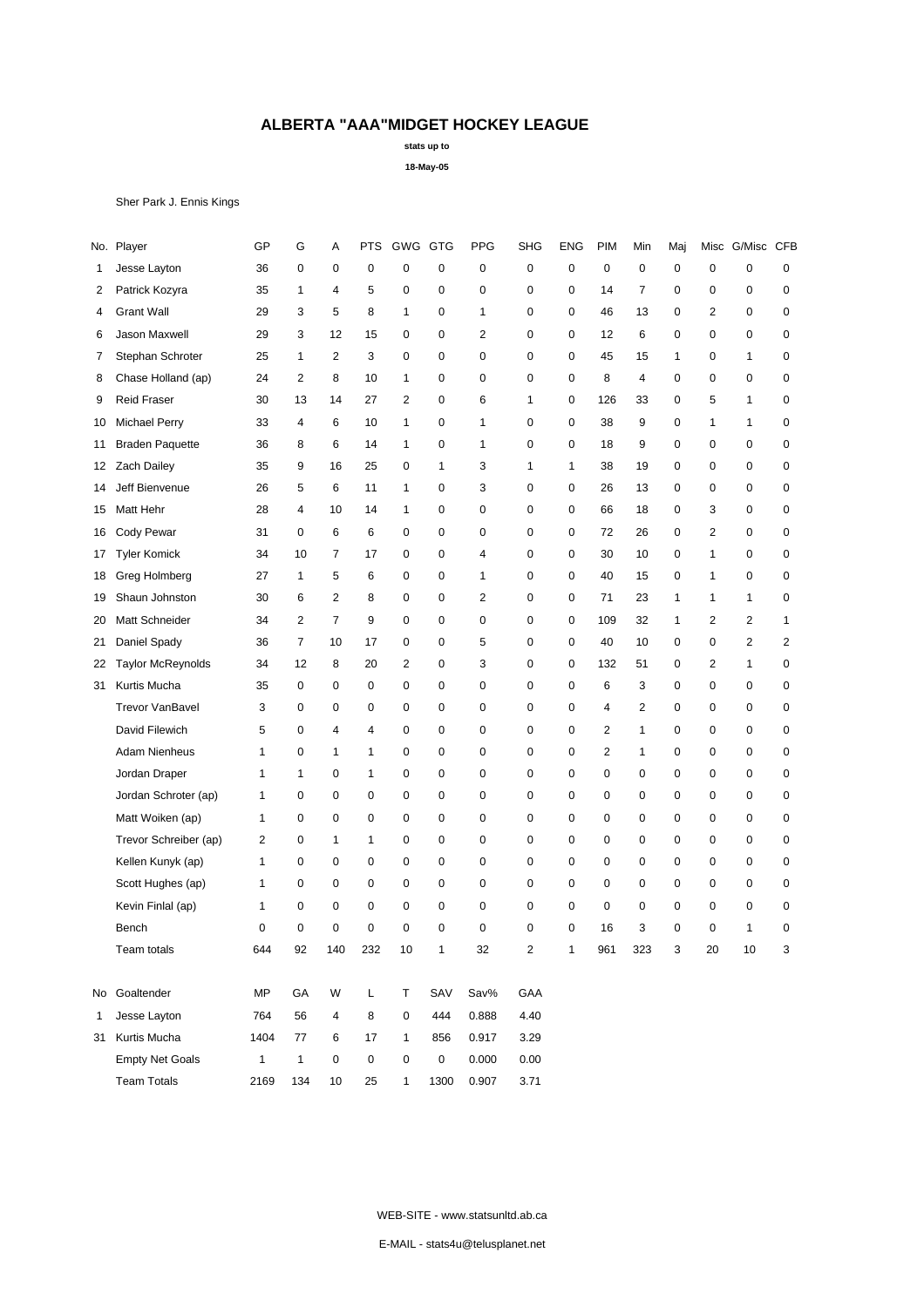**stats up to**

**18-May-05**

Sher Park J. Ennis Kings

| No. | Player                   | GP           | G              | А              | PTS | GWG GTG        |      | PPG            | <b>SHG</b>     | <b>ENG</b>  | PIM            | Min            | Maj         | Misc           | G/Misc CFB   |              |
|-----|--------------------------|--------------|----------------|----------------|-----|----------------|------|----------------|----------------|-------------|----------------|----------------|-------------|----------------|--------------|--------------|
| 1   | Jesse Layton             | 36           | 0              | 0              | 0   | 0              | 0    | 0              | 0              | $\mathbf 0$ | 0              | $\mathbf 0$    | 0           | $\mathbf 0$    | 0            | 0            |
| 2   | Patrick Kozyra           | 35           | 1              | $\overline{4}$ | 5   | 0              | 0    | $\mathbf 0$    | $\mathbf 0$    | 0           | 14             | $\overline{7}$ | $\mathbf 0$ | 0              | 0            | 0            |
| 4   | <b>Grant Wall</b>        | 29           | 3              | 5              | 8   | 1              | 0    | 1              | 0              | 0           | 46             | 13             | 0           | 2              | 0            | 0            |
| 6   | Jason Maxwell            | 29           | 3              | 12             | 15  | 0              | 0    | $\overline{2}$ | $\mathbf 0$    | $\mathbf 0$ | 12             | 6              | 0           | 0              | 0            | 0            |
| 7   | Stephan Schroter         | 25           | 1              | 2              | 3   | 0              | 0    | $\mathbf 0$    | 0              | 0           | 45             | 15             | 1           | 0              | 1            | 0            |
| 8   | Chase Holland (ap)       | 24           | $\overline{2}$ | 8              | 10  | $\mathbf{1}$   | 0    | $\mathbf 0$    | $\mathbf 0$    | $\mathbf 0$ | 8              | 4              | $\mathbf 0$ | 0              | $\mathbf 0$  | 0            |
| 9   | <b>Reid Fraser</b>       | 30           | 13             | 14             | 27  | $\overline{2}$ | 0    | 6              | $\mathbf{1}$   | 0           | 126            | 33             | 0           | 5              | $\mathbf{1}$ | 0            |
| 10  | <b>Michael Perry</b>     | 33           | 4              | 6              | 10  | $\mathbf{1}$   | 0    | 1              | 0              | 0           | 38             | 9              | 0           | $\mathbf{1}$   | 1            | 0            |
| 11  | <b>Braden Paquette</b>   | 36           | 8              | 6              | 14  | 1              | 0    | 1              | 0              | 0           | 18             | 9              | $\mathbf 0$ | 0              | $\mathbf 0$  | 0            |
| 12  | <b>Zach Dailey</b>       | 35           | 9              | 16             | 25  | 0              | 1    | 3              | 1              | 1           | 38             | 19             | 0           | 0              | $\mathbf 0$  | 0            |
| 14  | Jeff Bienvenue           | 26           | 5              | 6              | 11  | $\mathbf{1}$   | 0    | 3              | $\mathbf 0$    | 0           | 26             | 13             | 0           | 0              | 0            | 0            |
| 15  | Matt Hehr                | 28           | 4              | 10             | 14  | $\mathbf{1}$   | 0    | 0              | $\mathbf 0$    | 0           | 66             | 18             | 0           | 3              | 0            | 0            |
| 16  | Cody Pewar               | 31           | $\mathbf 0$    | 6              | 6   | 0              | 0    | $\mathbf 0$    | $\mathbf 0$    | $\mathbf 0$ | 72             | 26             | 0           | $\overline{2}$ | $\mathbf 0$  | 0            |
| 17  | <b>Tyler Komick</b>      | 34           | 10             | 7              | 17  | 0              | 0    | 4              | 0              | 0           | 30             | 10             | 0           | $\mathbf{1}$   | 0            | 0            |
| 18  | Greg Holmberg            | 27           | 1              | 5              | 6   | 0              | 0    | $\mathbf{1}$   | $\mathbf 0$    | $\mathbf 0$ | 40             | 15             | 0           | $\mathbf{1}$   | 0            | 0            |
| 19  | Shaun Johnston           | 30           | 6              | $\overline{c}$ | 8   | 0              | 0    | $\overline{2}$ | $\mathbf 0$    | 0           | 71             | 23             | 1           | $\mathbf{1}$   | 1            | 0            |
| 20  | Matt Schneider           | 34           | $\overline{2}$ | 7              | 9   | 0              | 0    | $\mathbf 0$    | $\mathbf 0$    | 0           | 109            | 32             | 1           | 2              | 2            | $\mathbf{1}$ |
| 21  | Daniel Spady             | 36           | $\overline{7}$ | 10             | 17  | 0              | 0    | 5              | $\mathbf 0$    | 0           | 40             | 10             | 0           | 0              | 2            | 2            |
| 22  | <b>Taylor McReynolds</b> | 34           | 12             | 8              | 20  | $\overline{2}$ | 0    | 3              | $\mathbf 0$    | 0           | 132            | 51             | 0           | 2              | $\mathbf{1}$ | 0            |
| 31  | Kurtis Mucha             | 35           | 0              | 0              | 0   | 0              | 0    | $\mathbf 0$    | $\mathbf 0$    | 0           | 6              | 3              | $\mathbf 0$ | 0              | $\mathbf 0$  | 0            |
|     | <b>Trevor VanBavel</b>   | 3            | 0              | 0              | 0   | 0              | 0    | 0              | 0              | 0           | 4              | $\overline{c}$ | 0           | 0              | 0            | 0            |
|     | David Filewich           | 5            | 0              | 4              | 4   | 0              | 0    | $\mathbf 0$    | 0              | $\mathbf 0$ | $\overline{2}$ | $\mathbf{1}$   | 0           | 0              | 0            | 0            |
|     | <b>Adam Nienheus</b>     | 1            | 0              | $\mathbf{1}$   | 1   | 0              | 0    | $\mathbf 0$    | 0              | 0           | 2              | 1              | 0           | 0              | 0            | 0            |
|     | Jordan Draper            | 1            | 1              | 0              | 1   | 0              | 0    | $\mathbf 0$    | 0              | 0           | 0              | 0              | 0           | 0              | $\mathbf 0$  | 0            |
|     | Jordan Schroter (ap)     | 1            | 0              | 0              | 0   | 0              | 0    | $\mathbf 0$    | 0              | 0           | $\mathbf 0$    | 0              | 0           | 0              | $\mathbf 0$  | 0            |
|     | Matt Woiken (ap)         | 1            | 0              | 0              | 0   | 0              | 0    | 0              | 0              | 0           | 0              | 0              | 0           | 0              | 0            | 0            |
|     | Trevor Schreiber (ap)    | 2            | 0              | 1              | 1   | 0              | 0    | $\mathbf 0$    | 0              | 0           | $\mathbf 0$    | 0              | 0           | 0              | 0            | 0            |
|     | Kellen Kunyk (ap)        | 1            | 0              | 0              | 0   | 0              | 0    | $\mathbf 0$    | $\mathbf 0$    | 0           | $\mathbf 0$    | $\mathbf 0$    | 0           | $\mathbf 0$    | 0            | 0            |
|     | Scott Hughes (ap)        | 1            | $\mathbf 0$    | 0              | 0   | 0              | 0    | $\mathbf 0$    | 0              | 0           | 0              | $\mathbf 0$    | 0           | 0              | 0            | 0            |
|     | Kevin Finlal (ap)        | 1            | 0              | 0              | 0   | 0              | 0    | $\mathbf 0$    | 0              | 0           | 0              | 0              | 0           | 0              | $\mathbf 0$  | 0            |
|     | Bench                    | 0            | $\mathbf 0$    | 0              | 0   | 0              | 0    | $\mathbf 0$    | $\mathbf 0$    | 0           | 16             | 3              | $\mathbf 0$ | 0              | 1            | 0            |
|     | Team totals              | 644          | 92             | 140            | 232 | 10             | 1    | 32             | $\overline{c}$ | 1           | 961            | 323            | 3           | 20             | 10           | 3            |
| No  | Goaltender               | <b>MP</b>    | GA             | W              | Г   | Т              | SAV  | Sav%           | GAA            |             |                |                |             |                |              |              |
| 1   | Jesse Layton             | 764          | 56             | 4              | 8   | 0              | 444  | 0.888          | 4.40           |             |                |                |             |                |              |              |
| 31  | Kurtis Mucha             | 1404         | 77             | 6              | 17  | 1              | 856  | 0.917          | 3.29           |             |                |                |             |                |              |              |
|     | <b>Empty Net Goals</b>   | $\mathbf{1}$ | $\mathbf{1}$   | 0              | 0   | 0              | 0    | 0.000          | 0.00           |             |                |                |             |                |              |              |
|     | <b>Team Totals</b>       | 2169         | 134            | $10$           | 25  | $\mathbf{1}$   | 1300 | 0.907          | 3.71           |             |                |                |             |                |              |              |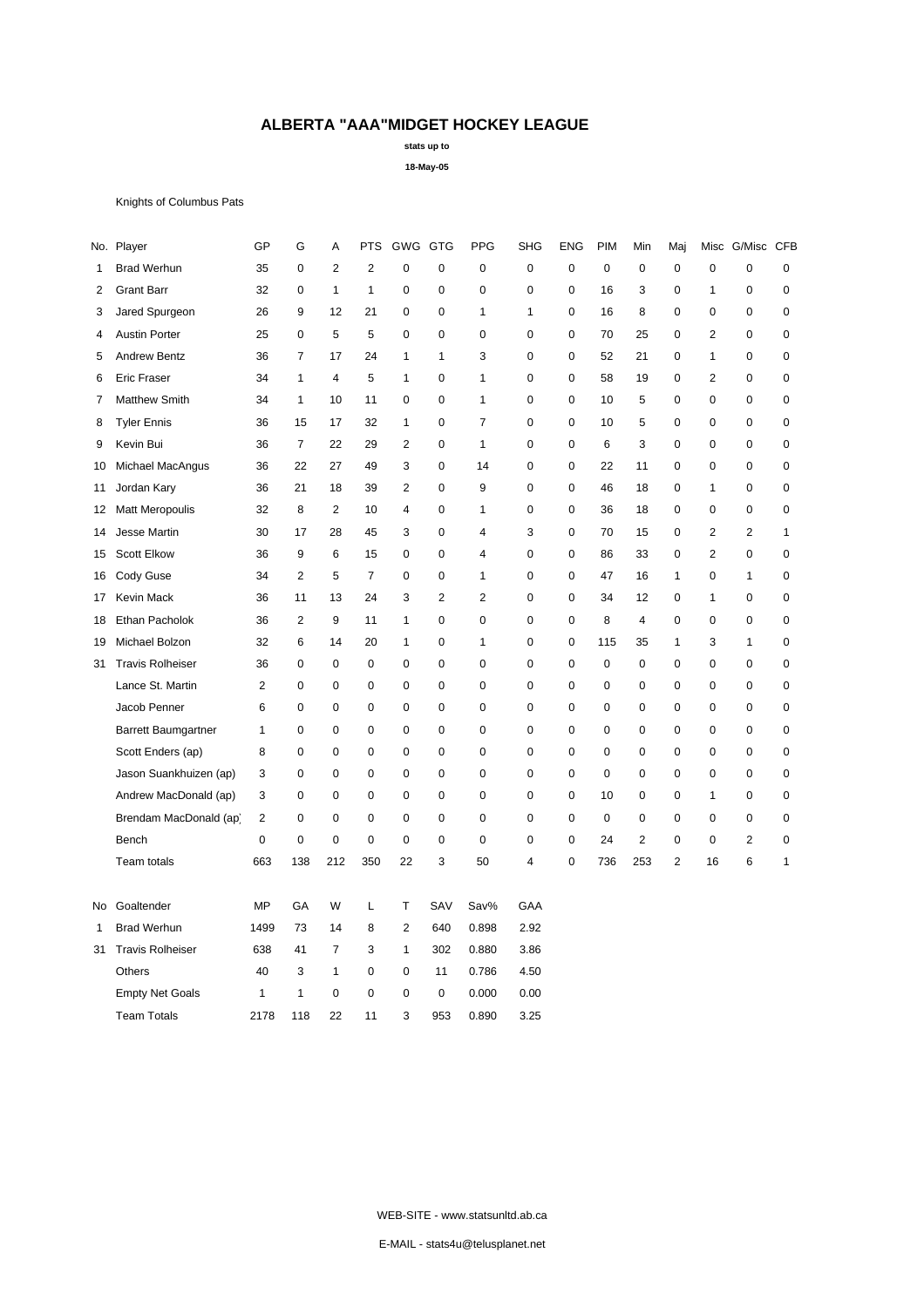**stats up to**

**18-May-05**

Knights of Columbus Pats

|                               |                |                |                |                |                |                |                |                |             |             |                | Maj              |                |                  |              |
|-------------------------------|----------------|----------------|----------------|----------------|----------------|----------------|----------------|----------------|-------------|-------------|----------------|------------------|----------------|------------------|--------------|
| <b>Brad Werhun</b>            | 35             | $\mathbf 0$    | $\overline{2}$ | $\overline{2}$ | 0              | 0              | $\mathbf 0$    | $\pmb{0}$      | 0           | $\mathbf 0$ | $\pmb{0}$      | $\mathbf 0$      | $\mathbf 0$    | 0                | $\pmb{0}$    |
| <b>Grant Barr</b>             | 32             | $\mathbf 0$    | $\mathbf{1}$   | 1              | 0              | 0              | $\mathbf 0$    | $\mathbf 0$    | 0           | 16          | 3              | 0                | $\mathbf{1}$   | 0                | $\pmb{0}$    |
| Jared Spurgeon                | 26             | 9              | 12             | 21             | 0              | 0              | $\mathbf{1}$   | $\mathbf{1}$   | 0           | 16          | 8              | 0                | $\mathbf 0$    | 0                | $\pmb{0}$    |
| <b>Austin Porter</b>          | 25             | $\mathbf 0$    | 5              | 5              | 0              | 0              | $\mathbf 0$    | $\pmb{0}$      | $\mathbf 0$ | 70          | 25             | $\mathbf 0$      | $\overline{2}$ | 0                | $\pmb{0}$    |
| <b>Andrew Bentz</b>           | 36             | $\overline{7}$ | 17             | 24             | $\mathbf{1}$   | 1              | 3              | $\mathbf 0$    | 0           | 52          | 21             | 0                | $\mathbf{1}$   | $\boldsymbol{0}$ | $\mathbf 0$  |
| <b>Eric Fraser</b>            | 34             | $\mathbf{1}$   | 4              | 5              | $\mathbf{1}$   | 0              | $\mathbf{1}$   | $\mathbf 0$    | 0           | 58          | 19             | $\mathbf 0$      | $\overline{2}$ | 0                | 0            |
| <b>Matthew Smith</b>          | 34             | $\mathbf{1}$   | 10             | 11             | 0              | 0              | $\mathbf{1}$   | $\pmb{0}$      | 0           | 10          | 5              | $\boldsymbol{0}$ | $\mathbf 0$    | 0                | $\pmb{0}$    |
| <b>Tyler Ennis</b>            | 36             | 15             | 17             | 32             | 1              | 0              | $\overline{7}$ | $\mathbf 0$    | 0           | 10          | 5              | 0                | 0              | 0                | $\mathbf 0$  |
| Kevin Bui                     | 36             | $\overline{7}$ | 22             | 29             | $\overline{c}$ | 0              | $\mathbf{1}$   | $\pmb{0}$      | 0           | 6           | 3              | $\mathbf 0$      | 0              | 0                | $\pmb{0}$    |
| Michael MacAngus              | 36             | 22             | 27             | 49             | 3              | 0              | 14             | $\mathbf 0$    | 0           | 22          | 11             | $\mathbf 0$      | 0              | 0                | 0            |
| Jordan Kary                   | 36             | 21             | 18             | 39             | $\overline{2}$ | 0              | 9              | $\mathbf 0$    | 0           | 46          | 18             | 0                | $\mathbf{1}$   | 0                | $\pmb{0}$    |
| <b>Matt Meropoulis</b><br>12  | 32             | 8              | $\overline{2}$ | 10             | 4              | 0              | $\mathbf{1}$   | $\mathbf 0$    | 0           | 36          | 18             | $\mathbf 0$      | 0              | 0                | $\pmb{0}$    |
| Jesse Martin                  | 30             | 17             | 28             | 45             | 3              | 0              | $\overline{4}$ | 3              | 0           | 70          | 15             | $\mathbf 0$      | $\overline{2}$ | $\overline{2}$   | $\mathbf{1}$ |
| <b>Scott Elkow</b>            | 36             | 9              | 6              | 15             | 0              | 0              | $\overline{4}$ | $\mathbf 0$    | 0           | 86          | 33             | 0                | $\overline{2}$ | 0                | 0            |
| Cody Guse                     | 34             | $\overline{2}$ | 5              | $\overline{7}$ | 0              | 0              | $\mathbf{1}$   | $\pmb{0}$      | $\mathbf 0$ | 47          | 16             | $\mathbf{1}$     | $\mathbf 0$    | $\mathbf{1}$     | $\pmb{0}$    |
| Kevin Mack<br>17              | 36             | 11             | 13             | 24             | 3              | $\overline{2}$ | $\overline{2}$ | 0              | $\mathbf 0$ | 34          | 12             | $\mathbf 0$      | $\mathbf{1}$   | 0                | 0            |
| Ethan Pacholok                | 36             | $\overline{2}$ | 9              | 11             | $\mathbf{1}$   | 0              | 0              | $\mathbf 0$    | 0           | 8           | 4              | 0                | $\mathbf 0$    | 0                | $\mathbf 0$  |
| Michael Bolzon                | 32             | 6              | 14             | 20             | $\mathbf{1}$   | 0              | $\mathbf{1}$   | $\mathbf 0$    | 0           | 115         | 35             | 1                | 3              | $\mathbf{1}$     | $\mathbf 0$  |
| <b>Travis Rolheiser</b><br>31 | 36             | 0              | 0              | 0              | 0              | 0              | 0              | $\mathbf 0$    | 0           | 0           | $\mathbf 0$    | 0                | 0              | 0                | 0            |
| Lance St. Martin              | $\overline{c}$ | 0              | 0              | 0              | 0              | 0              | $\mathbf 0$    | $\mathbf 0$    | 0           | 0           | $\mathbf 0$    | 0                | 0              | 0                | 0            |
| Jacob Penner                  | 6              | 0              | 0              | $\mathbf 0$    | 0              | 0              | $\mathbf 0$    | $\pmb{0}$      | 0           | $\mathbf 0$ | $\mathbf 0$    | $\mathbf 0$      | $\mathbf 0$    | 0                | $\pmb{0}$    |
| Barrett Baumgartner           | 1              | 0              | 0              | 0              | 0              | 0              | 0              | $\mathbf 0$    | 0           | $\mathbf 0$ | $\mathbf 0$    | 0                | $\mathbf 0$    | $\pmb{0}$        | $\pmb{0}$    |
| Scott Enders (ap)             | 8              | 0              | 0              | $\mathbf 0$    | 0              | 0              | $\mathbf 0$    | $\mathbf 0$    | 0           | $\mathbf 0$ | $\mathbf 0$    | 0                | $\mathbf 0$    | 0                | $\pmb{0}$    |
| Jason Suankhuizen (ap)        | 3              | $\mathbf 0$    | 0              | $\mathbf 0$    | 0              | 0              | $\mathbf 0$    | $\pmb{0}$      | $\mathbf 0$ | $\mathbf 0$ | $\mathbf 0$    | $\mathbf 0$      | $\mathbf 0$    | 0                | $\pmb{0}$    |
| Andrew MacDonald (ap)         | 3              | 0              | 0              | $\mathbf 0$    | 0              | 0              | 0              | $\mathbf 0$    | 0           | 10          | $\mathbf 0$    | 0                | $\mathbf{1}$   | 0                | $\mathbf 0$  |
| Brendam MacDonald (ap)        | 2              | $\mathbf 0$    | 0              | $\pmb{0}$      | 0              | 0              | $\mathbf 0$    | $\mathbf 0$    | 0           | 0           | 0              | $\mathbf 0$      | 0              | 0                | 0            |
| Bench                         | 0              | $\mathbf 0$    | $\overline{0}$ | $\mathbf 0$    | 0              | 0              | $\mathbf 0$    | $\pmb{0}$      | 0           | 24          | $\overline{2}$ | $\mathbf 0$      | $\mathbf 0$    | $\overline{c}$   | $\pmb{0}$    |
| Team totals                   | 663            | 138            | 212            | 350            | 22             | 3              | 50             | $\overline{4}$ | 0           | 736         | 253            | $\overline{2}$   | 16             | 6                | $\mathbf{1}$ |
| Goaltender<br>No              | MP             | GA             | W              | Г              | Т              | SAV            | Sav%           | GAA            |             |             |                |                  |                |                  |              |
| <b>Brad Werhun</b>            | 1499           | 73             | 14             | 8              | 2              | 640            | 0.898          | 2.92           |             |             |                |                  |                |                  |              |
| <b>Travis Rolheiser</b>       | 638            | 41             | 7              | 3              | $\mathbf{1}$   | 302            | 0.880          | 3.86           |             |             |                |                  |                |                  |              |
| Others                        | 40             | 3              | 1              | 0              | 0              | 11             | 0.786          | 4.50           |             |             |                |                  |                |                  |              |
| <b>Empty Net Goals</b>        | 1              | 1              | 0              | 0              | 0              | 0              | 0.000          | 0.00           |             |             |                |                  |                |                  |              |
| <b>Team Totals</b>            | 2178           | 118            | 22             | 11             | 3              | 953            | 0.890          | 3.25           |             |             |                |                  |                |                  |              |
|                               |                |                |                |                |                |                |                |                |             |             |                |                  |                |                  |              |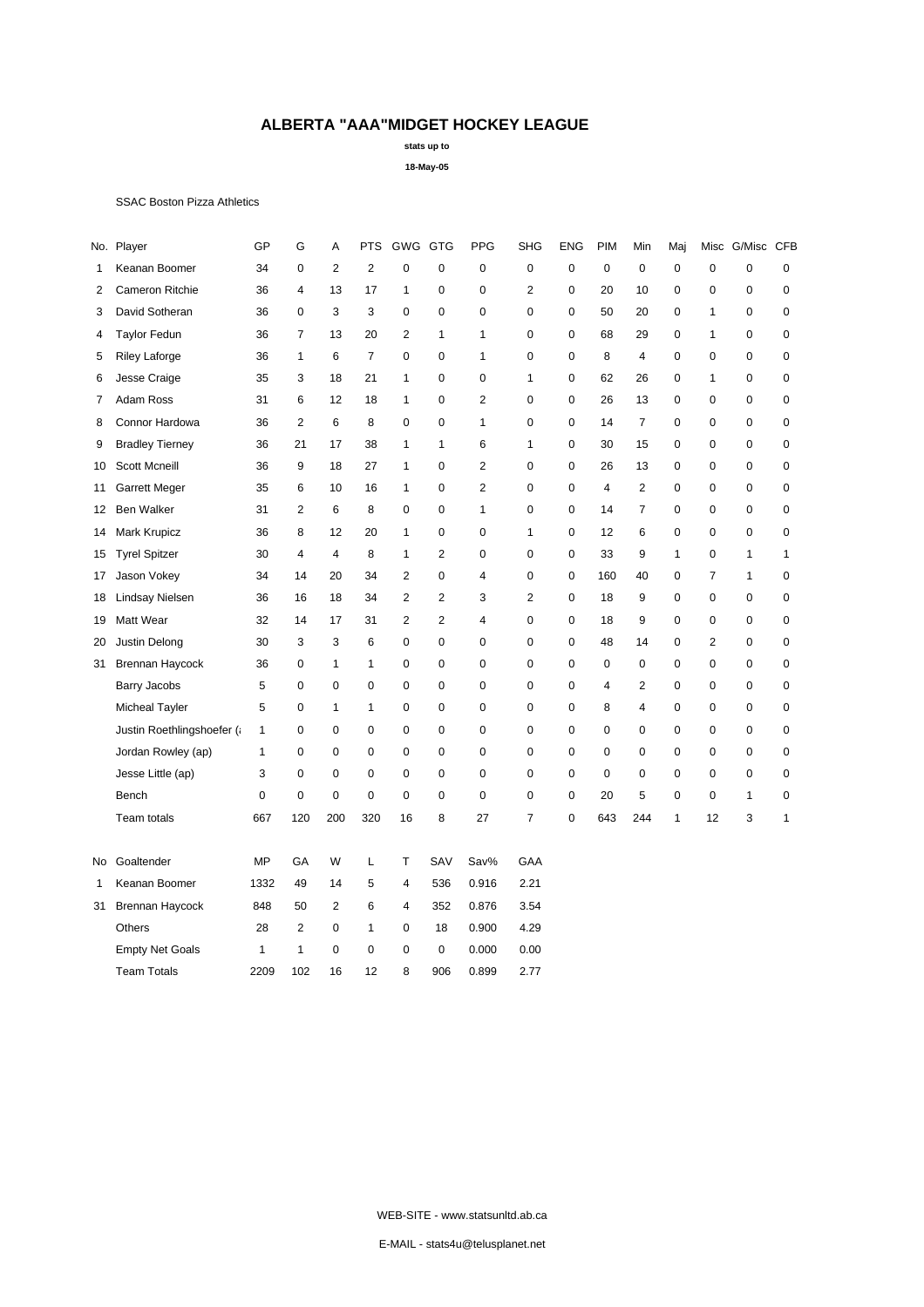**stats up to**

**18-May-05**

### SSAC Boston Pizza Athletics

|    | No. Player                 | GP          | G              | А              | <b>PTS</b>     | GWG GTG                 |                | <b>PPG</b>     | <b>SHG</b>     | <b>ENG</b>  | <b>PIM</b>  | Min            | Maj       |                | Misc G/Misc CFB |              |
|----|----------------------------|-------------|----------------|----------------|----------------|-------------------------|----------------|----------------|----------------|-------------|-------------|----------------|-----------|----------------|-----------------|--------------|
| 1  | Keanan Boomer              | 34          | $\mathbf 0$    | $\mathbf{2}$   | $\overline{2}$ | $\mathbf 0$             | 0              | $\mathbf 0$    | $\mathbf 0$    | $\mathbf 0$ | $\pmb{0}$   | 0              | $\pmb{0}$ | $\mathbf 0$    | $\mathbf 0$     | $\mathbf 0$  |
| 2  | Cameron Ritchie            | 36          | 4              | 13             | 17             | 1                       | 0              | 0              | $\overline{2}$ | 0           | 20          | 10             | 0         | 0              | 0               | 0            |
| 3  | David Sotheran             | 36          | $\mathbf 0$    | 3              | 3              | 0                       | 0              | $\mathbf 0$    | $\mathbf 0$    | $\mathbf 0$ | 50          | 20             | 0         | 1              | $\mathbf 0$     | 0            |
| 4  | <b>Taylor Fedun</b>        | 36          | $\overline{7}$ | 13             | 20             | $\overline{2}$          | $\mathbf{1}$   | 1              | $\mathbf 0$    | $\mathbf 0$ | 68          | 29             | 0         | 1              | $\mathbf 0$     | $\mathbf 0$  |
| 5  | <b>Riley Laforge</b>       | 36          | $\mathbf{1}$   | 6              | $\overline{7}$ | 0                       | 0              | 1              | $\mathbf 0$    | 0           | 8           | 4              | 0         | $\mathbf 0$    | 0               | 0            |
| 6  | Jesse Craige               | 35          | 3              | 18             | 21             | 1                       | 0              | 0              | $\mathbf{1}$   | 0           | 62          | 26             | 0         | 1              | 0               | 0            |
| 7  | Adam Ross                  | 31          | 6              | 12             | 18             | $\mathbf{1}$            | 0              | 2              | $\mathbf 0$    | $\mathbf 0$ | 26          | 13             | 0         | 0              | 0               | 0            |
| 8  | Connor Hardowa             | 36          | $\overline{2}$ | 6              | 8              | 0                       | 0              | 1              | $\mathbf 0$    | 0           | 14          | $\overline{7}$ | 0         | 0              | 0               | 0            |
| 9  | <b>Bradley Tierney</b>     | 36          | 21             | 17             | 38             | $\mathbf{1}$            | 1              | 6              | $\mathbf{1}$   | 0           | 30          | 15             | 0         | $\mathbf 0$    | $\mathbf 0$     | $\pmb{0}$    |
| 10 | <b>Scott Mcneill</b>       | 36          | 9              | 18             | 27             | $\mathbf{1}$            | 0              | $\overline{2}$ | $\mathbf 0$    | $\mathbf 0$ | 26          | 13             | 0         | $\mathbf 0$    | $\mathbf 0$     | $\pmb{0}$    |
| 11 | <b>Garrett Meger</b>       | 35          | 6              | 10             | 16             | 1                       | 0              | $\overline{c}$ | $\mathbf 0$    | $\Omega$    | 4           | $\overline{2}$ | 0         | 0              | 0               | 0            |
| 12 | Ben Walker                 | 31          | $\overline{2}$ | 6              | 8              | 0                       | 0              | 1              | $\mathbf 0$    | $\mathbf 0$ | 14          | $\overline{7}$ | 0         | 0              | 0               | 0            |
| 14 | Mark Krupicz               | 36          | 8              | 12             | 20             | $\mathbf{1}$            | 0              | $\mathbf 0$    | $\mathbf{1}$   | 0           | 12          | 6              | 0         | $\mathbf 0$    | 0               | $\mathbf 0$  |
| 15 | <b>Tyrel Spitzer</b>       | 30          | 4              | 4              | 8              | 1                       | 2              | 0              | $\mathbf 0$    | 0           | 33          | 9              | 1         | $\mathbf 0$    | 1               | $\mathbf{1}$ |
| 17 | Jason Vokey                | 34          | 14             | 20             | 34             | $\overline{2}$          | 0              | 4              | $\mathbf 0$    | 0           | 160         | 40             | 0         | 7              | 1               | 0            |
| 18 | Lindsay Nielsen            | 36          | 16             | 18             | 34             | $\overline{c}$          | $\overline{2}$ | 3              | $\overline{2}$ | $\mathbf 0$ | 18          | 9              | 0         | $\pmb{0}$      | $\mathbf 0$     | 0            |
| 19 | Matt Wear                  | 32          | 14             | 17             | 31             | $\overline{c}$          | $\overline{c}$ | 4              | $\mathbf 0$    | 0           | 18          | 9              | 0         | 0              | 0               | 0            |
| 20 | Justin Delong              | 30          | 3              | 3              | 6              | $\mathbf 0$             | 0              | 0              | $\mathbf 0$    | 0           | 48          | 14             | 0         | $\overline{2}$ | 0               | $\pmb{0}$    |
| 31 | Brennan Haycock            | 36          | $\mathbf 0$    | $\mathbf{1}$   | $\mathbf{1}$   | 0                       | 0              | $\mathbf 0$    | $\mathbf 0$    | 0           | $\mathbf 0$ | $\mathbf 0$    | 0         | $\mathbf 0$    | $\mathbf 0$     | $\mathbf 0$  |
|    | Barry Jacobs               | 5           | $\mathbf 0$    | $\mathbf 0$    | 0              | 0                       | 0              | 0              | $\mathbf 0$    | 0           | 4           | 2              | 0         | 0              | 0               | 0            |
|    | <b>Micheal Tayler</b>      | 5           | $\mathbf 0$    | 1              | 1              | 0                       | 0              | $\mathbf 0$    | $\mathbf 0$    | 0           | 8           | 4              | 0         | 0              | 0               | 0            |
|    | Justin Roethlingshoefer (¿ | 1           | $\mathbf 0$    | $\mathbf 0$    | $\mathbf 0$    | 0                       | 0              | $\mathbf 0$    | $\mathbf 0$    | 0           | $\mathbf 0$ | 0              | 0         | $\mathbf 0$    | $\mathbf 0$     | $\pmb{0}$    |
|    | Jordan Rowley (ap)         | 1           | 0              | $\mathbf 0$    | 0              | 0                       | 0              | $\mathbf 0$    | $\mathbf 0$    | 0           | $\mathbf 0$ | 0              | 0         | $\mathbf 0$    | 0               | 0            |
|    | Jesse Little (ap)          | 3           | $\mathbf 0$    | $\mathbf 0$    | $\mathbf 0$    | 0                       | 0              | $\mathbf 0$    | $\mathbf 0$    | $\mathbf 0$ | $\mathbf 0$ | $\mathbf 0$    | 0         | 0              | $\mathbf 0$     | 0            |
|    | Bench                      | $\mathbf 0$ | $\mathbf 0$    | $\mathbf 0$    | $\mathbf 0$    | $\mathbf 0$             | 0              | $\mathbf 0$    | $\mathbf 0$    | $\mathbf 0$ | 20          | 5              | 0         | $\mathbf 0$    | $\mathbf{1}$    | 0            |
|    | Team totals                | 667         | 120            | 200            | 320            | 16                      | 8              | 27             | $\overline{7}$ | 0           | 643         | 244            | 1         | 12             | 3               | 1            |
| No | Goaltender                 | MP          | GA             | W              | L              | Т                       | SAV            | Sav%           | GAA            |             |             |                |           |                |                 |              |
| 1  | Keanan Boomer              | 1332        | 49             | 14             | 5              | $\overline{4}$          | 536            | 0.916          | 2.21           |             |             |                |           |                |                 |              |
| 31 | Brennan Haycock            | 848         | 50             | $\overline{2}$ | 6              | $\overline{\mathbf{4}}$ | 352            | 0.876          | 3.54           |             |             |                |           |                |                 |              |
|    | Others                     | 28          | $\overline{2}$ | $\mathbf 0$    | $\mathbf{1}$   | 0                       | 18             | 0.900          | 4.29           |             |             |                |           |                |                 |              |
|    | <b>Empty Net Goals</b>     | 1           | 1              | 0              | 0              | 0                       | 0              | 0.000          | 0.00           |             |             |                |           |                |                 |              |
|    | <b>Team Totals</b>         | 2209        | 102            | 16             | 12             | 8                       | 906            | 0.899          | 2.77           |             |             |                |           |                |                 |              |

WEB-SITE - www.statsunltd.ab.ca

E-MAIL - stats4u@telusplanet.net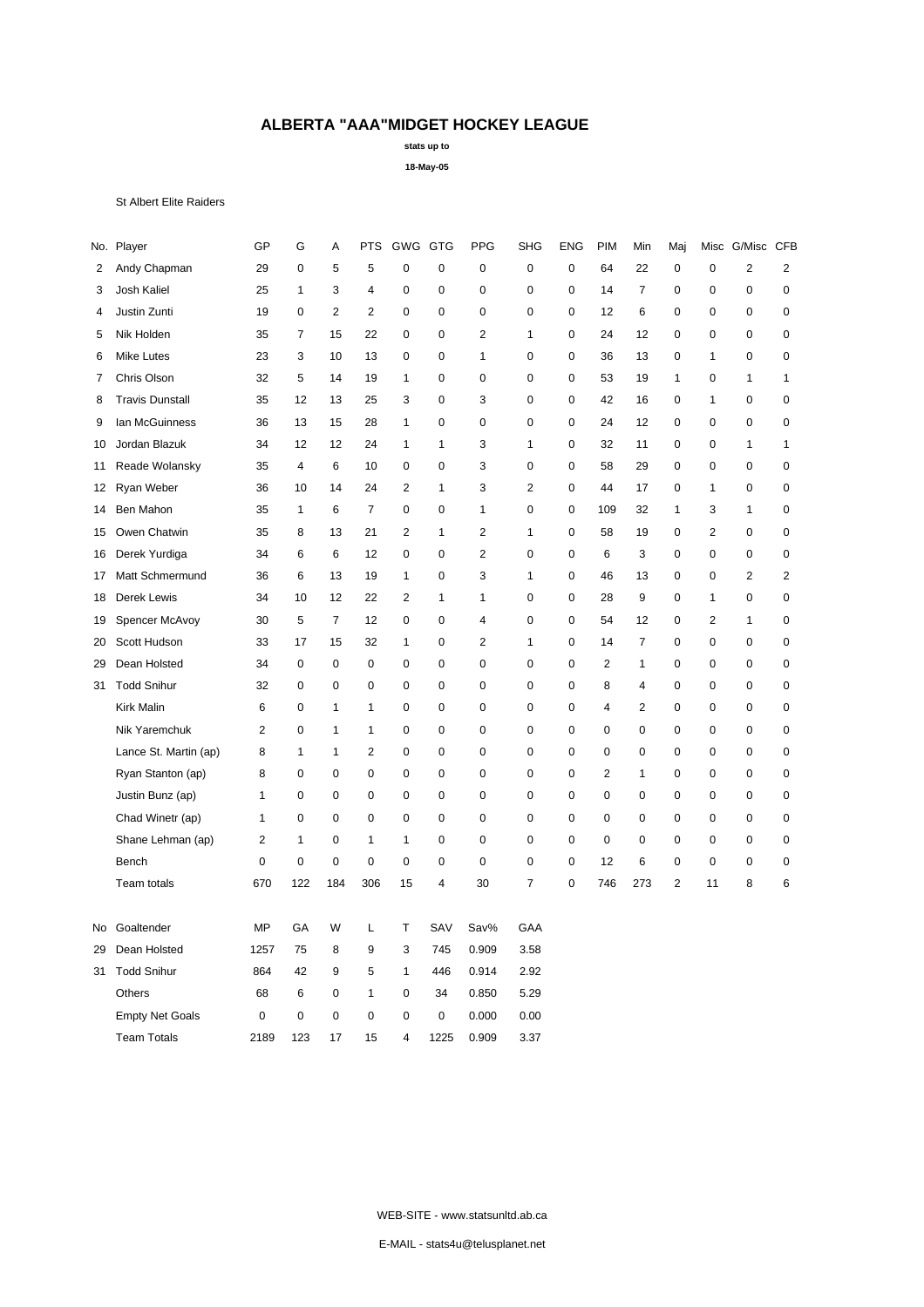**stats up to**

**18-May-05**

#### St Albert Elite Raiders

|    | No. Player             | GP             | G              | А              | <b>PTS</b>     | GWG GTG                 |              | PPG            | <b>SHG</b>     | <b>ENG</b>  | <b>PIM</b>     | Min                     | Maj            | Misc                    | G/Misc CFB     |                         |
|----|------------------------|----------------|----------------|----------------|----------------|-------------------------|--------------|----------------|----------------|-------------|----------------|-------------------------|----------------|-------------------------|----------------|-------------------------|
| 2  | Andy Chapman           | 29             | $\mathbf 0$    | 5              | 5              | $\mathbf 0$             | $\pmb{0}$    | $\mathbf 0$    | $\pmb{0}$      | $\mathsf 0$ | 64             | 22                      | 0              | $\pmb{0}$               | $\overline{2}$ | $\overline{c}$          |
| 3  | Josh Kaliel            | 25             | $\mathbf{1}$   | 3              | $\overline{4}$ | 0                       | 0            | $\mathbf 0$    | $\mathbf 0$    | $\mathbf 0$ | 14             | $\overline{7}$          | 0              | $\mathbf 0$             | $\mathbf 0$    | 0                       |
| 4  | Justin Zunti           | 19             | $\mathbf 0$    | $\overline{2}$ | $\overline{2}$ | 0                       | 0            | $\mathbf 0$    | $\mathbf 0$    | 0           | 12             | 6                       | 0              | $\mathbf 0$             | $\mathbf 0$    | $\pmb{0}$               |
| 5  | Nik Holden             | 35             | $\overline{7}$ | 15             | 22             | 0                       | 0            | $\overline{2}$ | 1              | 0           | 24             | 12                      | 0              | 0                       | $\mathbf 0$    | $\mathbf 0$             |
| 6  | <b>Mike Lutes</b>      | 23             | 3              | 10             | 13             | $\mathbf 0$             | 0            | 1              | $\mathbf 0$    | $\mathbf 0$ | 36             | 13                      | 0              | 1                       | $\mathbf 0$    | 0                       |
| 7  | Chris Olson            | 32             | 5              | 14             | 19             | $\mathbf{1}$            | 0            | $\mathbf 0$    | $\mathbf 0$    | 0           | 53             | 19                      | $\mathbf{1}$   | $\mathbf 0$             | $\mathbf{1}$   | $\mathbf{1}$            |
| 8  | <b>Travis Dunstall</b> | 35             | 12             | 13             | 25             | 3                       | 0            | 3              | $\mathbf 0$    | $\mathbf 0$ | 42             | 16                      | 0              | 1                       | $\mathbf 0$    | 0                       |
| 9  | lan McGuinness         | 36             | 13             | 15             | 28             | $\mathbf{1}$            | 0            | $\mathbf 0$    | $\mathbf 0$    | $\mathbf 0$ | 24             | 12                      | 0              | $\mathbf 0$             | $\mathbf 0$    | 0                       |
| 10 | Jordan Blazuk          | 34             | 12             | 12             | 24             | $\mathbf{1}$            | 1            | 3              | $\mathbf{1}$   | $\mathbf 0$ | 32             | 11                      | 0              | 0                       | $\mathbf{1}$   | 1                       |
| 11 | Reade Wolansky         | 35             | $\overline{4}$ | 6              | 10             | $\mathbf 0$             | 0            | 3              | $\mathbf 0$    | 0           | 58             | 29                      | 0              | $\mathbf 0$             | $\mathbf 0$    | 0                       |
| 12 | Ryan Weber             | 36             | 10             | 14             | 24             | $\overline{2}$          | $\mathbf{1}$ | 3              | $\overline{2}$ | 0           | 44             | 17                      | 0              | 1                       | $\mathbf 0$    | 0                       |
| 14 | Ben Mahon              | 35             | $\mathbf{1}$   | 6              | $\overline{7}$ | 0                       | 0            | 1              | $\mathbf 0$    | 0           | 109            | 32                      | $\mathbf{1}$   | 3                       | $\mathbf{1}$   | 0                       |
| 15 | Owen Chatwin           | 35             | 8              | 13             | 21             | $\overline{2}$          | $\mathbf{1}$ | $\overline{2}$ | $\mathbf{1}$   | $\mathbf 0$ | 58             | 19                      | 0              | $\overline{2}$          | $\mathbf 0$    | 0                       |
| 16 | Derek Yurdiga          | 34             | 6              | 6              | 12             | 0                       | 0            | $\overline{2}$ | $\mathbf 0$    | 0           | 6              | 3                       | 0              | $\mathbf 0$             | $\mathbf 0$    | 0                       |
| 17 | Matt Schmermund        | 36             | 6              | 13             | 19             | $\mathbf{1}$            | 0            | 3              | $\mathbf{1}$   | $\mathbf 0$ | 46             | 13                      | 0              | $\mathbf 0$             | $\mathbf 2$    | $\overline{\mathbf{c}}$ |
| 18 | Derek Lewis            | 34             | 10             | 12             | 22             | $\overline{2}$          | 1            | 1              | $\mathbf 0$    | $\mathbf 0$ | 28             | 9                       | 0              | 1                       | $\mathbf 0$    | 0                       |
| 19 | Spencer McAvoy         | 30             | 5              | $\overline{7}$ | 12             | 0                       | 0            | 4              | $\pmb{0}$      | $\mathbf 0$ | 54             | 12                      | 0              | $\overline{\mathbf{c}}$ | $\mathbf{1}$   | 0                       |
| 20 | Scott Hudson           | 33             | 17             | 15             | 32             | $\mathbf{1}$            | 0            | $\overline{2}$ | $\mathbf{1}$   | $\mathbf 0$ | 14             | $\overline{7}$          | 0              | $\mathbf 0$             | $\mathbf 0$    | 0                       |
| 29 | Dean Holsted           | 34             | $\mathbf 0$    | $\mathbf 0$    | $\mathbf 0$    | 0                       | 0            | $\mathbf 0$    | $\mathbf 0$    | $\mathbf 0$ | $\overline{2}$ | 1                       | 0              | $\mathbf 0$             | $\mathbf 0$    | 0                       |
| 31 | <b>Todd Snihur</b>     | 32             | $\mathbf 0$    | $\mathbf 0$    | 0              | 0                       | 0            | $\mathbf 0$    | $\mathbf 0$    | 0           | 8              | 4                       | 0              | $\mathbf 0$             | $\mathbf 0$    | 0                       |
|    | Kirk Malin             | 6              | $\mathbf 0$    | 1              | $\mathbf{1}$   | 0                       | 0            | $\mathbf 0$    | $\mathbf 0$    | $\mathbf 0$ | $\overline{4}$ | $\overline{\mathbf{c}}$ | 0              | $\mathbf 0$             | $\mathbf 0$    | 0                       |
|    | Nik Yaremchuk          | $\overline{2}$ | $\pmb{0}$      | $\mathbf{1}$   | $\mathbf{1}$   | 0                       | 0            | $\mathbf 0$    | $\mathbf 0$    | 0           | 0              | $\mathbf 0$             | 0              | $\pmb{0}$               | $\mathbf 0$    | $\pmb{0}$               |
|    | Lance St. Martin (ap)  | 8              | 1              | 1              | $\overline{2}$ | 0                       | 0            | $\mathbf 0$    | $\mathbf 0$    | 0           | $\mathbf 0$    | $\mathbf 0$             | 0              | $\pmb{0}$               | $\mathbf 0$    | $\pmb{0}$               |
|    | Ryan Stanton (ap)      | 8              | 0              | $\mathbf 0$    | $\pmb{0}$      | 0                       | 0            | $\mathbf 0$    | $\mathbf 0$    | 0           | $\overline{c}$ | 1                       | 0              | 0                       | $\mathbf 0$    | 0                       |
|    | Justin Bunz (ap)       | 1              | 0              | $\mathbf 0$    | $\mathbf 0$    | 0                       | 0            | $\mathbf 0$    | $\mathbf 0$    | 0           | 0              | 0                       | 0              | 0                       | $\mathbf 0$    | 0                       |
|    | Chad Winetr (ap)       | 1              | 0              | $\mathbf 0$    | $\mathbf 0$    | 0                       | 0            | $\mathbf 0$    | $\mathbf 0$    | 0           | 0              | $\mathbf 0$             | 0              | $\mathbf 0$             | $\mathbf 0$    | $\pmb{0}$               |
|    | Shane Lehman (ap)      | $\overline{2}$ | 1              | $\mathbf 0$    | 1              | 1                       | 0            | 0              | $\mathbf 0$    | 0           | $\mathbf 0$    | 0                       | 0              | $\mathbf 0$             | 0              | 0                       |
|    | Bench                  | 0              | $\mathbf 0$    | $\mathbf 0$    | 0              | 0                       | 0            | 0              | $\mathbf 0$    | 0           | 12             | 6                       | 0              | $\mathbf 0$             | 0              | 0                       |
|    | Team totals            | 670            | 122            | 184            | 306            | 15                      | 4            | 30             | $\overline{7}$ | 0           | 746            | 273                     | $\overline{2}$ | 11                      | 8              | 6                       |
| No | Goaltender             | MP             | GA             | W              | L              | T                       | SAV          | Sav%           | GAA            |             |                |                         |                |                         |                |                         |
| 29 | Dean Holsted           | 1257           | 75             | 8              | 9              | 3                       | 745          | 0.909          | 3.58           |             |                |                         |                |                         |                |                         |
| 31 | <b>Todd Snihur</b>     | 864            | 42             | 9              | 5              | $\mathbf{1}$            | 446          | 0.914          | 2.92           |             |                |                         |                |                         |                |                         |
|    | Others                 | 68             | 6              | $\mathbf 0$    | 1              | 0                       | 34           | 0.850          | 5.29           |             |                |                         |                |                         |                |                         |
|    | <b>Empty Net Goals</b> | 0              | $\mathbf 0$    | $\mathbf 0$    | 0              | 0                       | 0            | 0.000          | 0.00           |             |                |                         |                |                         |                |                         |
|    | <b>Team Totals</b>     | 2189           | 123            | 17             | 15             | $\overline{\mathbf{4}}$ | 1225         | 0.909          | 3.37           |             |                |                         |                |                         |                |                         |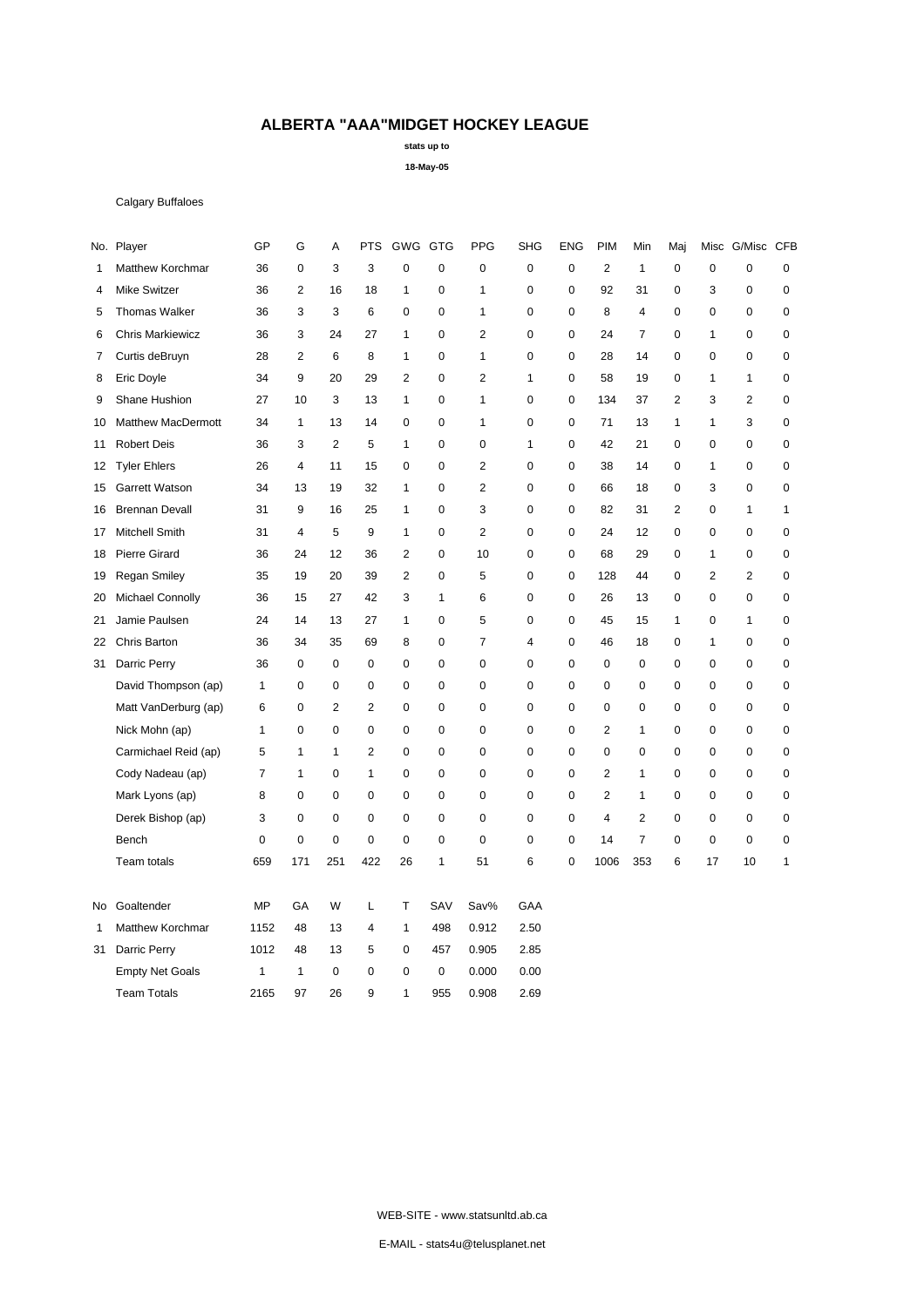**stats up to**

**18-May-05**

### Calgary Buffaloes

|    | No. Player              | GP             | G              | А              | <b>PTS</b>     | GWG GTG        |              | <b>PPG</b>     | <b>SHG</b>   | <b>ENG</b>  | <b>PIM</b>              | Min            | Maj            |                | Misc G/Misc CFB |              |
|----|-------------------------|----------------|----------------|----------------|----------------|----------------|--------------|----------------|--------------|-------------|-------------------------|----------------|----------------|----------------|-----------------|--------------|
| 1  | Matthew Korchmar        | 36             | $\mathbf 0$    | 3              | 3              | $\mathbf 0$    | $\mathbf 0$  | $\mathbf 0$    | $\mathbf 0$  | $\mathbf 0$ | $\overline{2}$          | $\mathbf{1}$   | 0              | $\mathbf 0$    | $\mathbf 0$     | $\mathbf 0$  |
| 4  | <b>Mike Switzer</b>     | 36             | $\overline{2}$ | 16             | 18             | $\mathbf{1}$   | $\mathbf 0$  | 1              | 0            | 0           | 92                      | 31             | 0              | 3              | $\mathbf 0$     | 0            |
| 5  | <b>Thomas Walker</b>    | 36             | 3              | 3              | 6              | $\mathbf 0$    | $\mathbf 0$  | 1              | 0            | $\mathbf 0$ | 8                       | 4              | 0              | $\mathbf 0$    | $\mathbf 0$     | 0            |
| 6  | <b>Chris Markiewicz</b> | 36             | 3              | 24             | 27             | $\mathbf{1}$   | $\mathbf 0$  | 2              | $\pmb{0}$    | $\mathbf 0$ | 24                      | $\overline{7}$ | 0              | 1              | $\mathbf 0$     | $\mathbf 0$  |
| 7  | Curtis deBruyn          | 28             | $\overline{2}$ | 6              | 8              | $\mathbf{1}$   | $\mathbf 0$  | 1              | 0            | $\mathbf 0$ | 28                      | 14             | 0              | 0              | $\mathbf 0$     | 0            |
| 8  | Eric Doyle              | 34             | 9              | 20             | 29             | $\overline{2}$ | $\mathbf 0$  | $\overline{2}$ | $\mathbf{1}$ | 0           | 58                      | 19             | 0              | 1              | $\mathbf{1}$    | $\pmb{0}$    |
| 9  | Shane Hushion           | 27             | 10             | 3              | 13             | $\mathbf{1}$   | $\mathbf 0$  | 1              | $\mathbf 0$  | $\mathbf 0$ | 134                     | 37             | $\overline{2}$ | 3              | $\overline{2}$  | $\mathbf 0$  |
| 10 | Matthew MacDermott      | 34             | $\mathbf{1}$   | 13             | 14             | $\mathbf 0$    | $\mathbf 0$  | 1              | $\mathbf 0$  | 0           | 71                      | 13             | $\mathbf{1}$   | 1              | 3               | $\mathbf 0$  |
| 11 | <b>Robert Deis</b>      | 36             | 3              | 2              | 5              | $\mathbf{1}$   | $\mathbf 0$  | 0              | 1            | $\mathbf 0$ | 42                      | 21             | 0              | $\mathbf 0$    | $\mathbf 0$     | $\mathbf 0$  |
| 12 | <b>Tyler Ehlers</b>     | 26             | $\overline{4}$ | 11             | 15             | $\mathbf 0$    | $\mathbf 0$  | $\overline{c}$ | $\pmb{0}$    | $\mathbf 0$ | 38                      | 14             | 0              | $\mathbf{1}$   | $\pmb{0}$       | $\pmb{0}$    |
| 15 | Garrett Watson          | 34             | 13             | 19             | 32             | $\mathbf{1}$   | $\pmb{0}$    | $\overline{c}$ | $\mathbf 0$  | 0           | 66                      | 18             | 0              | 3              | $\pmb{0}$       | 0            |
| 16 | <b>Brennan Devall</b>   | 31             | 9              | 16             | 25             | $\mathbf{1}$   | $\mathbf 0$  | 3              | 0            | $\mathbf 0$ | 82                      | 31             | $\overline{2}$ | 0              | $\mathbf{1}$    | $\mathbf{1}$ |
| 17 | Mitchell Smith          | 31             | $\overline{4}$ | 5              | 9              | $\mathbf{1}$   | $\pmb{0}$    | $\overline{c}$ | 0            | 0           | 24                      | 12             | 0              | $\pmb{0}$      | $\pmb{0}$       | $\pmb{0}$    |
| 18 | <b>Pierre Girard</b>    | 36             | 24             | 12             | 36             | $\overline{2}$ | $\mathbf 0$  | 10             | $\mathbf 0$  | $\mathbf 0$ | 68                      | 29             | 0              | 1              | 0               | $\mathbf 0$  |
| 19 | <b>Regan Smiley</b>     | 35             | 19             | 20             | 39             | $\overline{2}$ | $\pmb{0}$    | 5              | $\mathbf 0$  | 0           | 128                     | 44             | 0              | $\overline{2}$ | $\overline{2}$  | $\mathbf 0$  |
| 20 | Michael Connolly        | 36             | 15             | 27             | 42             | 3              | $\mathbf{1}$ | 6              | 0            | $\mathbf 0$ | 26                      | 13             | 0              | 0              | $\mathbf 0$     | 0            |
| 21 | Jamie Paulsen           | 24             | 14             | 13             | 27             | $\mathbf{1}$   | 0            | 5              | 0            | 0           | 45                      | 15             | $\mathbf{1}$   | $\pmb{0}$      | $\mathbf{1}$    | 0            |
| 22 | Chris Barton            | 36             | 34             | 35             | 69             | 8              | $\mathbf 0$  | 7              | 4            | $\mathbf 0$ | 46                      | 18             | 0              | 1              | 0               | $\mathbf 0$  |
| 31 | Darric Perry            | 36             | $\mathsf 0$    | $\mathbf 0$    | $\mathbf 0$    | $\mathbf 0$    | $\mathbf 0$  | 0              | 0            | $\mathbf 0$ | 0                       | 0              | 0              | $\mathbf 0$    | $\pmb{0}$       | $\pmb{0}$    |
|    | David Thompson (ap)     | $\mathbf{1}$   | $\mathbf 0$    | $\mathbf 0$    | $\mathbf 0$    | $\mathbf 0$    | $\mathbf 0$  | 0              | $\mathbf 0$  | $\mathbf 0$ | 0                       | $\mathbf 0$    | 0              | $\mathbf 0$    | $\mathbf 0$     | $\mathbf 0$  |
|    | Matt VanDerburg (ap)    | 6              | $\mathbf 0$    | $\overline{2}$ | $\overline{2}$ | $\mathbf 0$    | $\mathbf 0$  | $\mathbf 0$    | 0            | $\mathbf 0$ | 0                       | $\mathbf 0$    | 0              | $\pmb{0}$      | $\mathbf 0$     | $\pmb{0}$    |
|    | Nick Mohn (ap)          | $\mathbf{1}$   | $\mathbf 0$    | $\mathbf 0$    | $\mathbf 0$    | $\mathbf 0$    | $\mathbf 0$  | $\mathbf 0$    | 0            | $\mathbf 0$ | $\overline{2}$          | $\mathbf{1}$   | 0              | $\mathbf 0$    | $\mathbf 0$     | $\mathbf 0$  |
|    | Carmichael Reid (ap)    | 5              | 1              | 1              | $\overline{2}$ | $\mathbf 0$    | $\mathbf 0$  | $\mathbf 0$    | $\mathbf 0$  | $\mathbf 0$ | 0                       | $\mathbf 0$    | 0              | $\mathbf 0$    | $\mathbf 0$     | $\mathbf 0$  |
|    | Cody Nadeau (ap)        | $\overline{7}$ | $\mathbf{1}$   | $\pmb{0}$      | $\mathbf{1}$   | $\mathbf 0$    | $\pmb{0}$    | 0              | 0            | 0           | $\overline{2}$          | $\mathbf{1}$   | 0              | 0              | $\pmb{0}$       | 0            |
|    | Mark Lyons (ap)         | 8              | 0              | $\mathbf 0$    | $\mathbf 0$    | $\mathbf 0$    | $\mathbf 0$  | 0              | $\mathbf 0$  | $\mathbf 0$ | $\overline{2}$          | $\mathbf{1}$   | 0              | $\mathbf 0$    | $\pmb{0}$       | $\pmb{0}$    |
|    | Derek Bishop (ap)       | 3              | $\mathsf 0$    | $\pmb{0}$      | $\mathbf 0$    | $\mathbf 0$    | $\pmb{0}$    | 0              | $\mathbf 0$  | $\mathbf 0$ | $\overline{\mathbf{4}}$ | $\overline{2}$ | 0              | 0              | $\mathbf 0$     | $\pmb{0}$    |
|    | Bench                   | $\mathbf 0$    | $\mathbf 0$    | $\mathbf 0$    | $\mathbf 0$    | $\mathbf 0$    | $\mathbf 0$  | $\mathbf 0$    | 0            | 0           | 14                      | $\overline{7}$ | 0              | 0              | 0               | $\mathbf 0$  |
|    | Team totals             | 659            | 171            | 251            | 422            | 26             | $\mathbf{1}$ | 51             | 6            | 0           | 1006                    | 353            | 6              | 17             | 10              | $\mathbf{1}$ |
| No | Goaltender              | MP             | GA             | W              | Г              | T              | SAV          | Sav%           | GAA          |             |                         |                |                |                |                 |              |
| 1  | Matthew Korchmar        | 1152           | 48             | 13             | $\overline{4}$ | $\mathbf{1}$   | 498          | 0.912          | 2.50         |             |                         |                |                |                |                 |              |
| 31 | Darric Perry            | 1012           | 48             | 13             | 5              | $\mathbf 0$    | 457          | 0.905          | 2.85         |             |                         |                |                |                |                 |              |
|    | <b>Empty Net Goals</b>  | 1              | $\mathbf{1}$   | $\mathbf 0$    | $\mathbf 0$    | $\mathbf 0$    | $\mathbf 0$  | 0.000          | 0.00         |             |                         |                |                |                |                 |              |
|    | <b>Team Totals</b>      | 2165           | 97             | 26             | 9              | $\mathbf{1}$   | 955          | 0.908          | 2.69         |             |                         |                |                |                |                 |              |
|    |                         |                |                |                |                |                |              |                |              |             |                         |                |                |                |                 |              |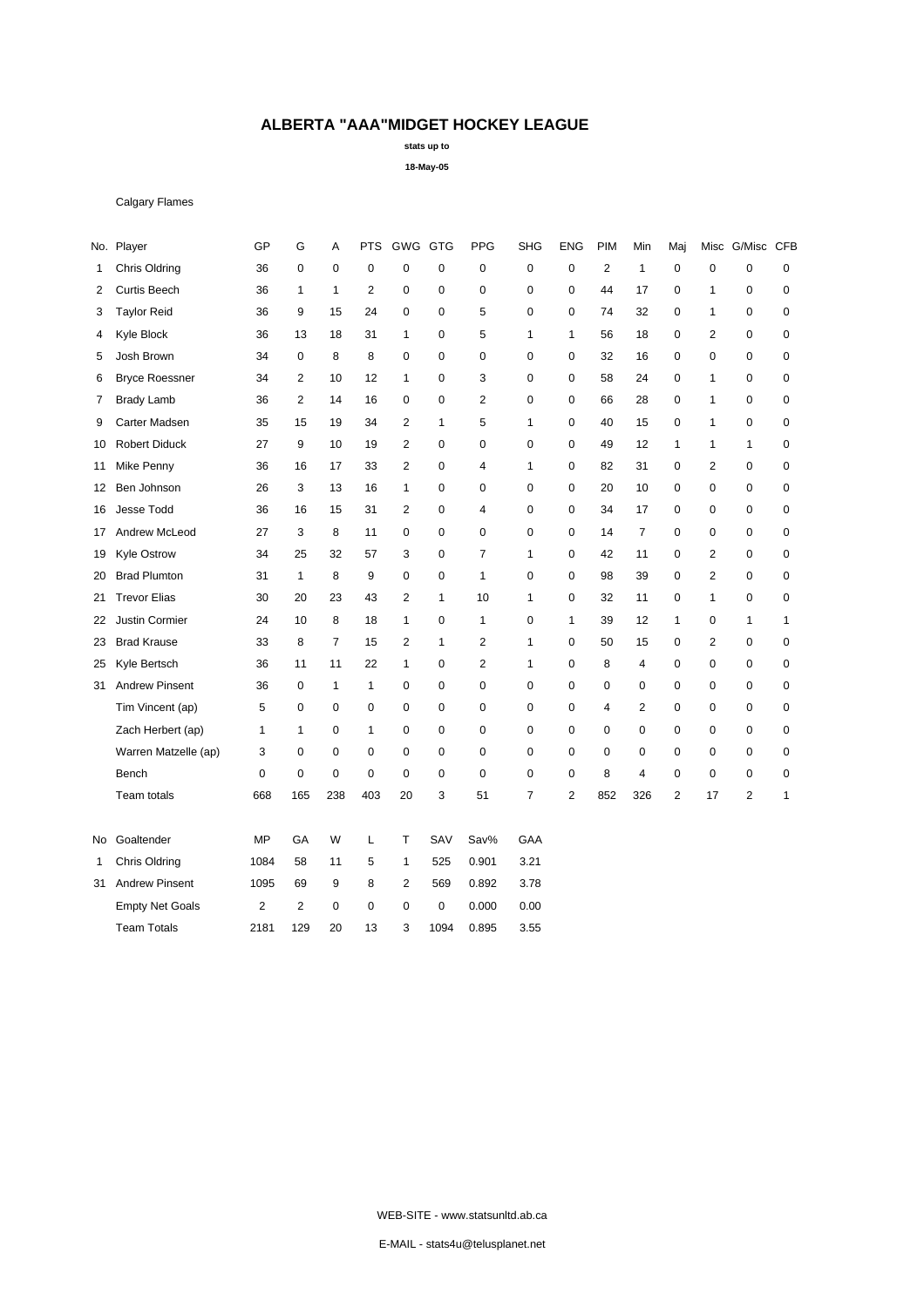**stats up to**

**18-May-05**

### Calgary Flames

|                        | GP             | G              | Α            | PTS            |                |          | PPG            | <b>SHG</b>     | <b>ENG</b>   | PIM            | Min            | Maj            |                |                |                 |
|------------------------|----------------|----------------|--------------|----------------|----------------|----------|----------------|----------------|--------------|----------------|----------------|----------------|----------------|----------------|-----------------|
| <b>Chris Oldring</b>   | 36             | 0              | 0            | $\mathbf 0$    | 0              | 0        | 0              | $\pmb{0}$      | 0            | $\overline{c}$ | 1              | 0              | $\mathbf 0$    | 0              | 0               |
| <b>Curtis Beech</b>    | 36             | $\mathbf{1}$   | $\mathbf{1}$ | $\overline{2}$ | 0              | 0        | $\mathbf 0$    | $\pmb{0}$      | 0            | 44             | 17             | 0              | $\mathbf{1}$   | 0              | 0               |
| <b>Taylor Reid</b>     | 36             | 9              | 15           | 24             | 0              | 0        | 5              | $\mathbf 0$    | 0            | 74             | 32             | $\mathbf 0$    | $\mathbf{1}$   | $\mathbf 0$    | $\mathbf 0$     |
| Kyle Block             | 36             | 13             | 18           | 31             | $\mathbf{1}$   | 0        | 5              | $\mathbf{1}$   | 1            | 56             | 18             | 0              | $\overline{2}$ | $\mathbf 0$    | $\pmb{0}$       |
| Josh Brown             | 34             | 0              | 8            | 8              | 0              | 0        | 0              | $\mathbf 0$    | 0            | 32             | 16             | 0              | 0              | 0              | 0               |
| <b>Bryce Roessner</b>  | 34             | $\mathbf{2}$   | 10           | 12             | $\mathbf{1}$   | 0        | 3              | $\mathbf 0$    | 0            | 58             | 24             | 0              | $\mathbf{1}$   | $\mathbf 0$    | 0               |
| <b>Brady Lamb</b>      | 36             | $\mathbf{2}$   | 14           | 16             | 0              | 0        | $\overline{2}$ | $\mathbf 0$    | 0            | 66             | 28             | 0              | $\mathbf{1}$   | $\mathbf 0$    | 0               |
| Carter Madsen          | 35             | 15             | 19           | 34             | $\overline{2}$ | 1        | 5              | $\mathbf{1}$   | 0            | 40             | 15             | 0              | $\mathbf{1}$   | $\mathbf 0$    | $\pmb{0}$       |
| <b>Robert Diduck</b>   | 27             | 9              | 10           | 19             | $\overline{c}$ | 0        | 0              | 0              | 0            | 49             | 12             | 1              | $\mathbf{1}$   | 1              | 0               |
| Mike Penny             | 36             | 16             | 17           | 33             | $\overline{2}$ | 0        | $\overline{4}$ | 1              | 0            | 82             | 31             | 0              | $\overline{2}$ | 0              | 0               |
| Ben Johnson            | 26             | 3              | 13           | 16             | $\mathbf{1}$   | 0        | 0              | $\mathbf 0$    | 0            | 20             | 10             | 0              | 0              | $\pmb{0}$      | $\pmb{0}$       |
| Jesse Todd             | 36             | 16             | 15           | 31             | $\overline{2}$ | 0        | $\overline{4}$ | $\mathbf 0$    | 0            | 34             | 17             | $\mathbf 0$    | $\mathbf 0$    | 0              | 0               |
| Andrew McLeod          | 27             | 3              | 8            | 11             | 0              | $\Omega$ | $\mathbf 0$    | $\mathbf 0$    | 0            | 14             | $\overline{7}$ | $\mathbf 0$    | $\mathbf 0$    | $\mathbf 0$    | $\mathbf 0$     |
| <b>Kyle Ostrow</b>     | 34             | 25             | 32           | 57             | 3              | 0        | 7              | $\mathbf{1}$   | 0            | 42             | 11             | 0              | $\overline{2}$ | 0              | 0               |
| <b>Brad Plumton</b>    | 31             | $\mathbf{1}$   | 8            | 9              | 0              | 0        | $\mathbf{1}$   | $\mathbf 0$    | 0            | 98             | 39             | 0              | $\overline{2}$ | 0              | 0               |
| <b>Trevor Elias</b>    | 30             | 20             | 23           | 43             | $\overline{c}$ | 1        | 10             | $\mathbf{1}$   | $\mathbf 0$  | 32             | 11             | $\pmb{0}$      | $\mathbf{1}$   | $\mathbf 0$    | $\pmb{0}$       |
| Justin Cormier         | 24             | 10             | 8            | 18             | $\mathbf{1}$   | 0        | $\mathbf{1}$   | $\mathbf 0$    | $\mathbf{1}$ | 39             | 12             | $\mathbf{1}$   | $\mathbf 0$    | $\mathbf{1}$   | $\mathbf{1}$    |
| <b>Brad Krause</b>     | 33             | 8              | 7            | 15             | $\overline{2}$ | 1        | $\overline{2}$ | $\mathbf{1}$   | 0            | 50             | 15             | 0              | $\overline{2}$ | 0              | $\pmb{0}$       |
| Kyle Bertsch           | 36             | 11             | 11           | 22             | $\mathbf{1}$   | 0        | $\overline{2}$ | $\mathbf{1}$   | 0            | 8              | 4              | 0              | 0              | $\mathbf 0$    | 0               |
| <b>Andrew Pinsent</b>  | 36             | $\mathbf 0$    | $\mathbf{1}$ | $\mathbf{1}$   | 0              | 0        | $\mathbf 0$    | $\mathbf 0$    | 0            | 0              | $\mathbf 0$    | 0              | $\mathbf 0$    | $\mathbf 0$    | 0               |
| Tim Vincent (ap)       | 5              | $\mathbf 0$    | 0            | $\mathbf 0$    | 0              | 0        | $\mathbf 0$    | $\pmb{0}$      | 0            | 4              | $\overline{2}$ | $\mathbf 0$    | 0              | $\mathbf 0$    | $\pmb{0}$       |
| Zach Herbert (ap)      | 1              | $\mathbf{1}$   | 0            | $\mathbf{1}$   | 0              | 0        | $\mathbf 0$    | $\mathbf 0$    | $\mathbf 0$  | $\mathbf 0$    | $\mathbf 0$    | $\mathbf 0$    | $\mathbf 0$    | $\mathbf 0$    | $\pmb{0}$       |
| Warren Matzelle (ap)   | 3              | 0              | 0            | 0              | 0              | 0        | 0              | $\mathbf 0$    | 0            | 0              | 0              | 0              | 0              | 0              | 0               |
| Bench                  | 0              | $\mathbf 0$    | 0            | $\mathbf 0$    | 0              | 0        | $\mathbf 0$    | $\mathbf 0$    | 0            | 8              | $\overline{4}$ | 0              | 0              | 0              | 0               |
| Team totals            | 668            | 165            | 238          | 403            | 20             | 3        | 51             | $\overline{7}$ | 2            | 852            | 326            | $\overline{2}$ | 17             | $\overline{2}$ | $\mathbf{1}$    |
| Goaltender             | MP             | GA             | W            | L              | T              | SAV      | Sav%           | GAA            |              |                |                |                |                |                |                 |
| Chris Oldring          | 1084           | 58             | 11           | 5              | 1              | 525      | 0.901          | 3.21           |              |                |                |                |                |                |                 |
| <b>Andrew Pinsent</b>  | 1095           | 69             | 9            | 8              | $\overline{c}$ | 569      | 0.892          | 3.78           |              |                |                |                |                |                |                 |
| <b>Empty Net Goals</b> | $\overline{c}$ | $\overline{2}$ | 0            | $\mathbf 0$    | 0              | 0        | 0.000          | 0.00           |              |                |                |                |                |                |                 |
| <b>Team Totals</b>     | 2181           | 129            | 20           | 13             | 3              | 1094     | 0.895          | 3.55           |              |                |                |                |                |                |                 |
|                        | No. Player     |                |              |                |                |          | GWG GTG        |                |              |                |                |                |                |                | Misc G/Misc CFB |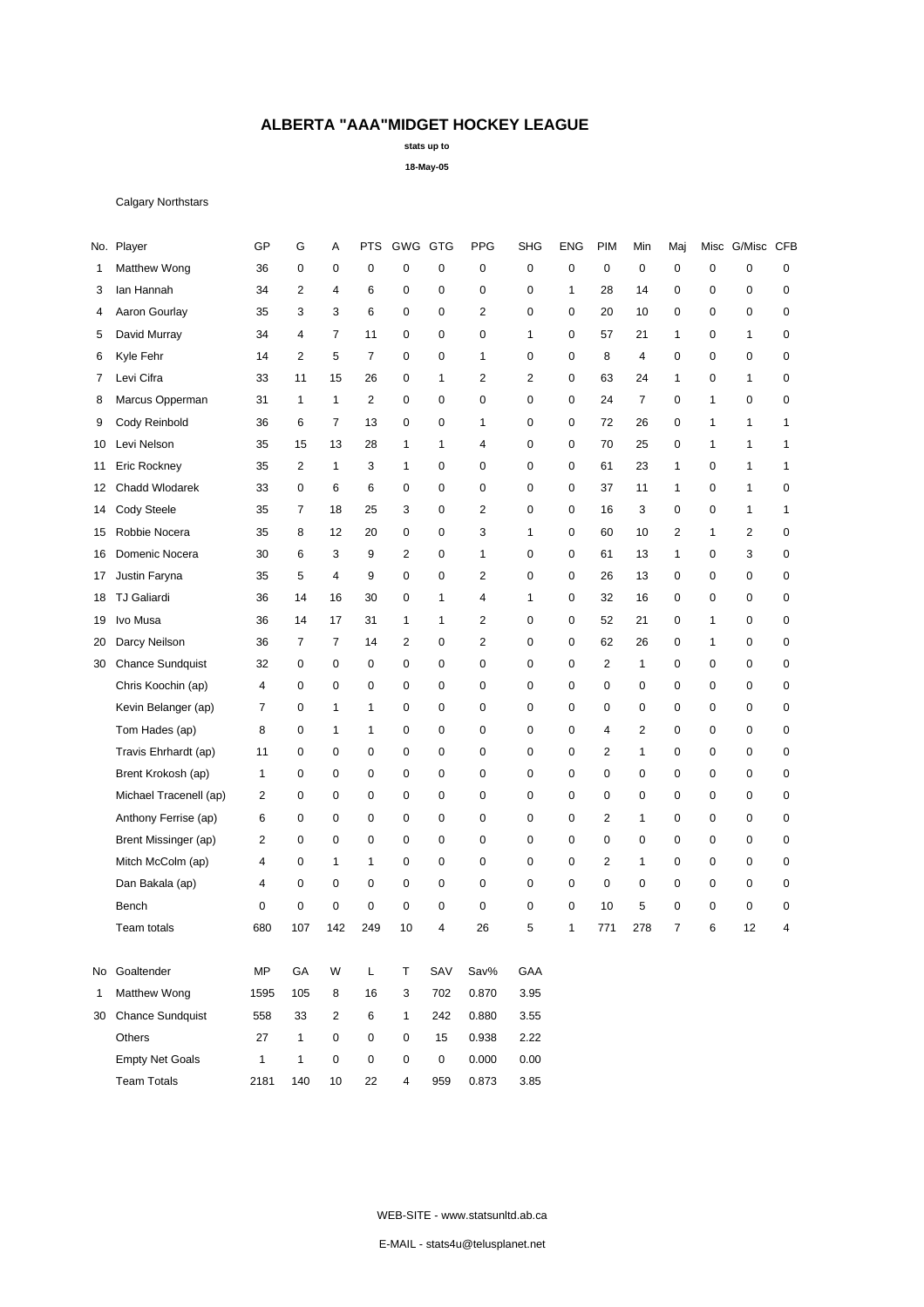**stats up to**

**18-May-05**

### Calgary Northstars

|              | No. Player              | GP             | G              | Α                   | <b>PTS</b>          | GWG GTG        |              | <b>PPG</b>     | <b>SHG</b>   | <b>ENG</b>   | <b>PIM</b>     | Min            | Maj            |              | Misc G/Misc CFB |             |
|--------------|-------------------------|----------------|----------------|---------------------|---------------------|----------------|--------------|----------------|--------------|--------------|----------------|----------------|----------------|--------------|-----------------|-------------|
| 1            | Matthew Wong            | 36             | $\mathbf 0$    | 0                   | $\mathbf 0$         | $\mathbf 0$    | 0            | $\mathbf 0$    | $\mathbf 0$  | 0            | 0              | 0              | 0              | $\mathbf 0$  | $\mathbf 0$     | 0           |
| 3            | lan Hannah              | 34             | $\overline{2}$ | $\overline{4}$      | 6                   | 0              | 0            | $\mathbf 0$    | $\mathbf 0$  | $\mathbf{1}$ | 28             | 14             | 0              | $\mathbf 0$  | 0               | 0           |
| 4            | Aaron Gourlay           | 35             | 3              | 3                   | 6                   | $\mathbf 0$    | $\mathbf 0$  | $\overline{2}$ | $\mathbf 0$  | $\mathbf 0$  | 20             | 10             | $\mathbf 0$    | $\mathbf 0$  | $\mathbf 0$     | 0           |
| 5            | David Murray            | 34             | 4              | $\overline{7}$      | 11                  | 0              | $\mathbf 0$  | $\mathbf 0$    | $\mathbf{1}$ | 0            | 57             | 21             | 1              | 0            | 1               | $\mathbf 0$ |
| 6            | Kyle Fehr               | 14             | $\overline{2}$ | 5                   | $\overline{7}$      | $\mathbf 0$    | $\mathbf 0$  | 1              | $\mathbf 0$  | 0            | 8              | $\overline{4}$ | 0              | $\mathbf 0$  | 0               | 0           |
| 7            | Levi Cifra              | 33             | 11             | 15                  | 26                  | $\mathbf 0$    | $\mathbf{1}$ | $\overline{2}$ | 2            | 0            | 63             | 24             | 1              | $\mathbf 0$  | $\mathbf{1}$    | $\mathbf 0$ |
| 8            | Marcus Opperman         | 31             | $\mathbf{1}$   | $\mathbf{1}$        | 2                   | $\mathbf 0$    | 0            | $\mathbf 0$    | $\mathbf 0$  | 0            | 24             | $\overline{7}$ | $\mathbf 0$    | $\mathbf{1}$ | $\mathbf 0$     | 0           |
| 9            | Cody Reinbold           | 36             | 6              | $\overline{7}$      | 13                  | $\mathbf 0$    | 0            | 1              | $\mathbf 0$  | 0            | 72             | 26             | 0              | $\mathbf{1}$ | 1               | 1           |
| 10           | Levi Nelson             | 35             | 15             | 13                  | 28                  | $\mathbf{1}$   | $\mathbf{1}$ | 4              | $\mathbf 0$  | 0            | 70             | 25             | 0              | $\mathbf{1}$ | $\mathbf{1}$    | 1           |
| 11           | Eric Rockney            | 35             | $\overline{2}$ | $\mathbf{1}$        | 3                   | 1              | 0            | $\mathbf 0$    | $\mathbf 0$  | 0            | 61             | 23             | 1              | $\mathbf 0$  | 1               | 1           |
| 12           | Chadd Wlodarek          | 33             | $\mathbf 0$    | 6                   | 6                   | 0              | $\mathbf 0$  | $\mathbf 0$    | $\mathbf 0$  | 0            | 37             | 11             | 1              | $\mathbf 0$  | 1               | $\mathbf 0$ |
| 14           | Cody Steele             | 35             | $\overline{7}$ | 18                  | 25                  | 3              | $\mathbf 0$  | $\overline{2}$ | $\mathbf 0$  | 0            | 16             | 3              | $\mathbf 0$    | $\mathbf 0$  | 1               | 1           |
| 15           | Robbie Nocera           | 35             | 8              | 12                  | 20                  | $\mathbf 0$    | 0            | 3              | 1            | 0            | 60             | 10             | $\overline{2}$ | 1            | $\overline{2}$  | $\mathbf 0$ |
| 16           | Domenic Nocera          | 30             | 6              | 3                   | 9                   | 2              | $\mathbf 0$  | 1              | $\mathbf 0$  | 0            | 61             | 13             | 1              | $\mathbf 0$  | 3               | 0           |
| 17           | Justin Faryna           | 35             | 5              | 4                   | 9                   | $\mathbf 0$    | 0            | $\overline{2}$ | 0            | 0            | 26             | 13             | 0              | $\mathbf 0$  | 0               | $\mathbf 0$ |
| 18           | <b>TJ Galiardi</b>      | 36             | 14             | 16                  | 30                  | 0              | $\mathbf{1}$ | 4              | 1            | 0            | 32             | 16             | 0              | $\mathbf 0$  | 0               | 0           |
| 19           | Ivo Musa                | 36             | 14             | 17                  | 31                  | $\mathbf{1}$   | $\mathbf{1}$ | $\overline{2}$ | $\mathbf 0$  | $\mathbf 0$  | 52             | 21             | $\mathbf 0$    | $\mathbf{1}$ | 0               | 0           |
| 20           | Darcy Neilson           | 36             | $\overline{7}$ | $\overline{7}$      | 14                  | 2              | $\mathbf 0$  | 2              | $\mathbf 0$  | $\mathbf 0$  | 62             | 26             | 0              | $\mathbf{1}$ | $\mathbf 0$     | 0           |
| 30           | <b>Chance Sundquist</b> | 32             | 0              | 0                   | $\mathbf 0$         | $\mathbf 0$    | 0            | $\mathbf 0$    | $\mathbf 0$  | 0            | $\overline{2}$ | $\mathbf{1}$   | 0              | $\mathbf 0$  | 0               | 0           |
|              | Chris Koochin (ap)      | 4              | 0              | 0                   | $\mathbf 0$         | 0              | 0            | $\mathbf 0$    | $\mathbf 0$  | 0            | 0              | 0              | 0              | $\mathbf 0$  | 0               | 0           |
|              | Kevin Belanger (ap)     | $\overline{7}$ | $\mathbf 0$    | $\mathbf{1}$        | $\mathbf{1}$        | $\mathbf 0$    | $\mathbf 0$  | $\mathbf 0$    | $\mathbf 0$  | 0            | 0              | $\mathbf 0$    | 0              | $\mathbf 0$  | 0               | 0           |
|              | Tom Hades (ap)          | 8              | $\mathbf 0$    | $\mathbf{1}$        | 1                   | 0              | $\mathbf 0$  | 0              | 0            | 0            | 4              | 2              | 0              | $\mathbf 0$  | 0               | 0           |
|              | Travis Ehrhardt (ap)    | 11             | $\mathbf 0$    | $\mathbf 0$         | $\mathbf 0$         | $\mathbf 0$    | $\mathbf 0$  | $\mathbf 0$    | $\mathbf 0$  | $\mathbf 0$  | $\overline{2}$ | $\mathbf{1}$   | $\mathbf 0$    | $\mathbf 0$  | 0               | 0           |
|              | Brent Krokosh (ap)      | 1              | 0              | 0                   | 0                   | $\mathbf 0$    | 0            | 0              | $\mathbf 0$  | 0            | 0              | $\mathbf 0$    | 0              | $\mathbf 0$  | 0               | $\mathbf 0$ |
|              | Michael Tracenell (ap)  | 2              | $\mathbf 0$    | 0                   | $\mathbf 0$         | 0              | 0            | 0              | $\mathbf 0$  | 0            | 0              | 0              | 0              | $\mathbf 0$  | 0               | 0           |
|              | Anthony Ferrise (ap)    | 6              | $\mathbf 0$    | 0                   | 0                   | $\mathbf 0$    | 0            | $\mathbf 0$    | $\mathbf 0$  | 0            | 2              | 1              | 0              | $\mathbf 0$  | 0               | $\mathbf 0$ |
|              | Brent Missinger (ap)    | 2              | $\mathbf 0$    | 0                   | $\mathbf 0$         | 0              | 0            | 0              | 0            | 0            | 0              | 0              | 0              | 0            | 0               | 0           |
|              | Mitch McColm (ap)       | 4              | $\mathbf 0$    | $\mathbf{1}$        | $\mathbf{1}$        | $\mathbf 0$    | $\mathbf 0$  | $\mathbf 0$    | $\mathbf 0$  | $\mathbf 0$  | $\overline{2}$ | 1              | $\mathbf 0$    | $\mathbf 0$  | 0               | 0           |
|              | Dan Bakala (ap)         | 4              | $\mathbf 0$    | 0                   | 0                   | 0              | $\mathbf 0$  | 0              | $\mathbf 0$  | 0            | 0              | 0              | 0              | $\mathbf 0$  | $\mathbf 0$     | 0           |
|              | Bench                   | 0              | $\mathbf 0$    | $\mathbf 0$         | $\mathbf 0$         | $\mathbf 0$    | 0            | $\mathbf 0$    | $\mathbf 0$  | $\mathbf 0$  | 10             | 5              | 0              | $\mathbf 0$  | 0               | 0           |
|              | Team totals             | 680            | 107            | 142                 | 249                 | 10             | 4            | 26             | 5            | $\mathbf{1}$ | 771            | 278            | $\overline{7}$ | 6            | 12              | 4           |
|              | No Goaltender           | MP             | GA             | W                   | L                   | т              | SAV          | Sav%           | GAA          |              |                |                |                |              |                 |             |
| $\mathbf{1}$ | Matthew Wong            | 1595           | 105            | 8                   | 16                  | 3              | 702          | 0.870          | 3.95         |              |                |                |                |              |                 |             |
| 30           | <b>Chance Sundquist</b> | 558            | 33             | $\mathbf{2}$        | 6                   | $\mathbf{1}$   | 242          | 0.880          | 3.55         |              |                |                |                |              |                 |             |
|              | Others                  | 27             | $\mathbf{1}$   | 0                   | 0                   | 0              | 15           | 0.938          | 2.22         |              |                |                |                |              |                 |             |
|              | <b>Empty Net Goals</b>  | $\mathbf{1}$   | $\mathbf{1}$   | $\mathsf{O}\xspace$ | $\mathsf{O}\xspace$ | 0              | 0            | 0.000          | 0.00         |              |                |                |                |              |                 |             |
|              | <b>Team Totals</b>      | 2181           | 140            | 10                  | 22                  | $\overline{4}$ | 959          | 0.873          | 3.85         |              |                |                |                |              |                 |             |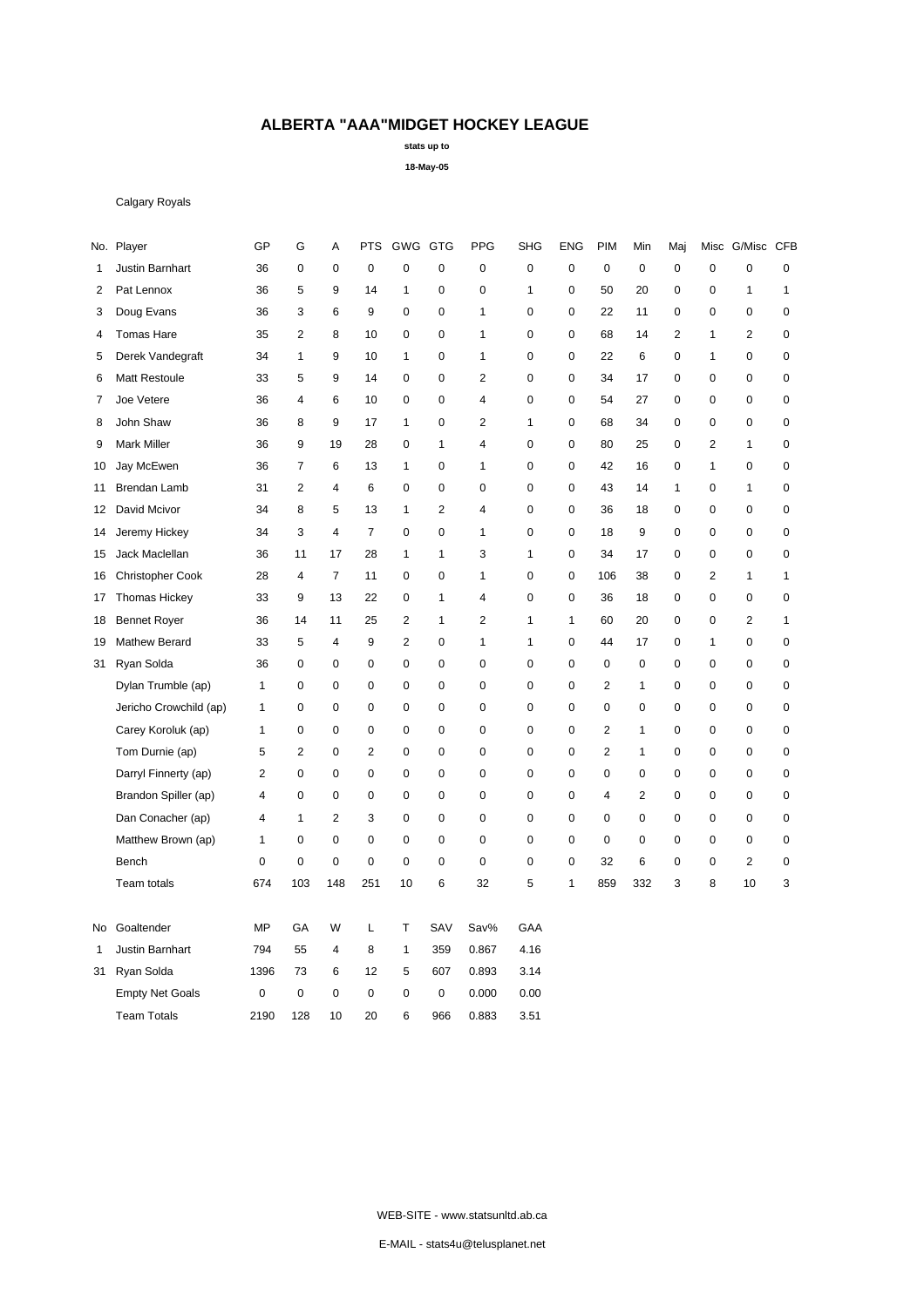**stats up to**

**18-May-05**

### Calgary Royals

|    | No. Player              | GP             | G              | А                | <b>PTS</b>     | GWG GTG        |                  | <b>PPG</b>  | <b>SHG</b>   | <b>ENG</b>   | PIM            | Min            | Maj            | Misc         | G/Misc CFB       |              |
|----|-------------------------|----------------|----------------|------------------|----------------|----------------|------------------|-------------|--------------|--------------|----------------|----------------|----------------|--------------|------------------|--------------|
| 1  | Justin Barnhart         | 36             | $\mathbf 0$    | $\boldsymbol{0}$ | $\mathbf 0$    | $\mathbf 0$    | 0                | $\mathbf 0$ | $\pmb{0}$    | 0            | $\mathbf 0$    | 0              | 0              | $\pmb{0}$    | $\mathbf 0$      | $\pmb{0}$    |
| 2  | Pat Lennox              | 36             | 5              | 9                | 14             | $\mathbf{1}$   | $\boldsymbol{0}$ | 0           | 1            | 0            | 50             | 20             | 0              | 0            | $\mathbf{1}$     | $\mathbf{1}$ |
| 3  | Doug Evans              | 36             | 3              | 6                | 9              | $\mathbf 0$    | $\mathbf 0$      | 1           | 0            | $\mathbf 0$  | 22             | 11             | 0              | 0            | $\mathbf 0$      | 0            |
| 4  | <b>Tomas Hare</b>       | 35             | $\overline{2}$ | 8                | 10             | $\mathbf 0$    | $\mathbf 0$      | 1           | $\pmb{0}$    | $\mathbf 0$  | 68             | 14             | $\overline{c}$ | 1            | $\overline{2}$   | $\pmb{0}$    |
| 5  | Derek Vandegraft        | 34             | $\mathbf{1}$   | 9                | 10             | $\mathbf{1}$   | 0                | 1           | 0            | 0            | 22             | 6              | 0              | 1            | $\boldsymbol{0}$ | 0            |
| 6  | Matt Restoule           | 33             | 5              | 9                | 14             | $\mathbf 0$    | $\mathbf 0$      | 2           | $\mathbf 0$  | $\mathbf 0$  | 34             | 17             | 0              | 0            | $\boldsymbol{0}$ | $\pmb{0}$    |
| 7  | Joe Vetere              | 36             | 4              | 6                | 10             | $\mathbf 0$    | $\mathbf 0$      | 4           | 0            | $\mathbf 0$  | 54             | 27             | 0              | 0            | $\mathbf 0$      | $\pmb{0}$    |
| 8  | John Shaw               | 36             | 8              | 9                | 17             | $\mathbf{1}$   | $\mathbf 0$      | 2           | $\mathbf{1}$ | $\mathbf 0$  | 68             | 34             | 0              | $\mathbf 0$  | $\mathbf 0$      | 0            |
| 9  | <b>Mark Miller</b>      | 36             | 9              | 19               | 28             | $\mathbf 0$    | 1                | 4           | 0            | 0            | 80             | 25             | 0              | 2            | 1                | $\pmb{0}$    |
| 10 | Jay McEwen              | 36             | $\overline{7}$ | 6                | 13             | $\mathbf{1}$   | $\mathbf 0$      | 1           | $\pmb{0}$    | 0            | 42             | 16             | 0              | $\mathbf{1}$ | $\mathbf 0$      | $\pmb{0}$    |
| 11 | Brendan Lamb            | 31             | 2              | 4                | 6              | $\mathbf 0$    | $\mathbf 0$      | $\mathbf 0$ | $\mathbf 0$  | $\mathbf 0$  | 43             | 14             | 1              | 0            | $\mathbf{1}$     | 0            |
| 12 | David Mcivor            | 34             | 8              | 5                | 13             | $\mathbf{1}$   | $\overline{2}$   | 4           | $\mathbf 0$  | 0            | 36             | 18             | 0              | 0            | 0                | $\pmb{0}$    |
| 14 | Jeremy Hickey           | 34             | 3              | $\overline{4}$   | $\overline{7}$ | $\mathbf 0$    | $\mathbf 0$      | 1           | $\mathbf 0$  | $\mathbf 0$  | 18             | 9              | 0              | $\mathbf 0$  | $\mathbf 0$      | $\mathbf 0$  |
| 15 | Jack Maclellan          | 36             | 11             | 17               | 28             | $\mathbf{1}$   | $\mathbf{1}$     | 3           | 1            | $\mathbf 0$  | 34             | 17             | 0              | 0            | $\mathbf 0$      | 0            |
| 16 | <b>Christopher Cook</b> | 28             | $\overline{4}$ | $\overline{7}$   | 11             | $\pmb{0}$      | $\mathbf 0$      | 1           | 0            | 0            | 106            | 38             | 0              | 2            | $\mathbf{1}$     | $\mathbf{1}$ |
| 17 | <b>Thomas Hickey</b>    | 33             | 9              | 13               | 22             | $\pmb{0}$      | $\mathbf{1}$     | 4           | 0            | 0            | 36             | 18             | 0              | 0            | $\mathbf 0$      | $\pmb{0}$    |
| 18 | <b>Bennet Royer</b>     | 36             | 14             | 11               | 25             | $\overline{2}$ | $\mathbf{1}$     | 2           | 1            | $\mathbf{1}$ | 60             | 20             | 0              | $\mathbf 0$  | $\overline{2}$   | 1            |
| 19 | Mathew Berard           | 33             | 5              | $\overline{4}$   | 9              | $\overline{2}$ | $\mathbf 0$      | 1           | 1            | $\mathbf 0$  | 44             | 17             | 0              | 1            | $\mathbf 0$      | 0            |
| 31 | Ryan Solda              | 36             | $\mathsf 0$    | $\mathbf 0$      | $\mathbf 0$    | $\mathbf 0$    | $\mathbf 0$      | 0           | 0            | $\mathbf 0$  | 0              | $\mathbf 0$    | 0              | 0            | $\mathbf 0$      | $\pmb{0}$    |
|    | Dylan Trumble (ap)      | 1              | 0              | $\mathbf 0$      | $\mathbf 0$    | $\mathbf 0$    | $\mathbf 0$      | 0           | 0            | $\mathbf 0$  | 2              | 1              | 0              | 0            | 0                | $\mathbf 0$  |
|    | Jericho Crowchild (ap)  | 1              | 0              | 0                | $\mathbf 0$    | $\mathbf 0$    | 0                | 0           | 0            | 0            | 0              | 0              | 0              | 0            | $\pmb{0}$        | $\pmb{0}$    |
|    | Carey Koroluk (ap)      | 1              | $\mathsf 0$    | $\pmb{0}$        | $\mathbf 0$    | $\mathbf 0$    | $\pmb{0}$        | $\mathbf 0$ | $\pmb{0}$    | 0            | $\overline{2}$ | 1              | 0              | 0            | $\boldsymbol{0}$ | $\pmb{0}$    |
|    | Tom Durnie (ap)         | 5              | $\overline{2}$ | $\boldsymbol{0}$ | $\overline{2}$ | $\mathbf 0$    | $\mathbf 0$      | $\mathbf 0$ | $\pmb{0}$    | $\mathbf 0$  | $\overline{2}$ | 1              | 0              | $\mathbf 0$  | $\boldsymbol{0}$ | $\mathbf 0$  |
|    | Darryl Finnerty (ap)    | $\overline{2}$ | $\mathbf 0$    | $\pmb{0}$        | $\mathbf 0$    | $\mathbf 0$    | 0                | 0           | 0            | $\mathbf 0$  | 0              | 0              | 0              | 0            | $\boldsymbol{0}$ | $\pmb{0}$    |
|    | Brandon Spiller (ap)    | 4              | $\mathbf 0$    | $\mathbf 0$      | $\mathbf 0$    | $\mathbf 0$    | $\mathbf 0$      | 0           | 0            | $\mathbf 0$  | $\overline{4}$ | $\overline{2}$ | 0              | 0            | $\boldsymbol{0}$ | 0            |
|    | Dan Conacher (ap)       | 4              | 1              | 2                | 3              | $\mathbf 0$    | $\mathbf 0$      | $\mathbf 0$ | $\pmb{0}$    | $\mathbf 0$  | 0              | $\mathbf 0$    | 0              | $\pmb{0}$    | 0                | $\pmb{0}$    |
|    | Matthew Brown (ap)      | 1              | $\mathsf 0$    | $\mathbf 0$      | $\mathsf 0$    | $\pmb{0}$      | 0                | 0           | 0            | 0            | $\mathbf 0$    | 0              | 0              | 0            | 0                | 0            |
|    | Bench                   | $\mathbf 0$    | $\mathsf 0$    | $\boldsymbol{0}$ | $\mathsf 0$    | $\mathbf 0$    | $\mathbf 0$      | $\mathbf 0$ | $\mathbf 0$  | $\mathbf 0$  | 32             | 6              | 0              | 0            | $\overline{2}$   | $\pmb{0}$    |
|    | Team totals             | 674            | 103            | 148              | 251            | 10             | 6                | 32          | 5            | $\mathbf{1}$ | 859            | 332            | 3              | 8            | 10               | 3            |
| No | Goaltender              | MP             | GA             | W                | L              | Т              | SAV              | Sav%        | GAA          |              |                |                |                |              |                  |              |
| 1  | Justin Barnhart         | 794            | 55             | $\overline{4}$   | 8              | $\mathbf{1}$   | 359              | 0.867       | 4.16         |              |                |                |                |              |                  |              |
| 31 | Ryan Solda              | 1396           | 73             | 6                | 12             | 5              | 607              | 0.893       | 3.14         |              |                |                |                |              |                  |              |
|    | <b>Empty Net Goals</b>  | 0              | $\mathbf 0$    | $\mathbf 0$      | $\mathbf 0$    | 0              | 0                | 0.000       | 0.00         |              |                |                |                |              |                  |              |
|    | <b>Team Totals</b>      | 2190           | 128            | 10               | 20             | 6              | 966              | 0.883       | 3.51         |              |                |                |                |              |                  |              |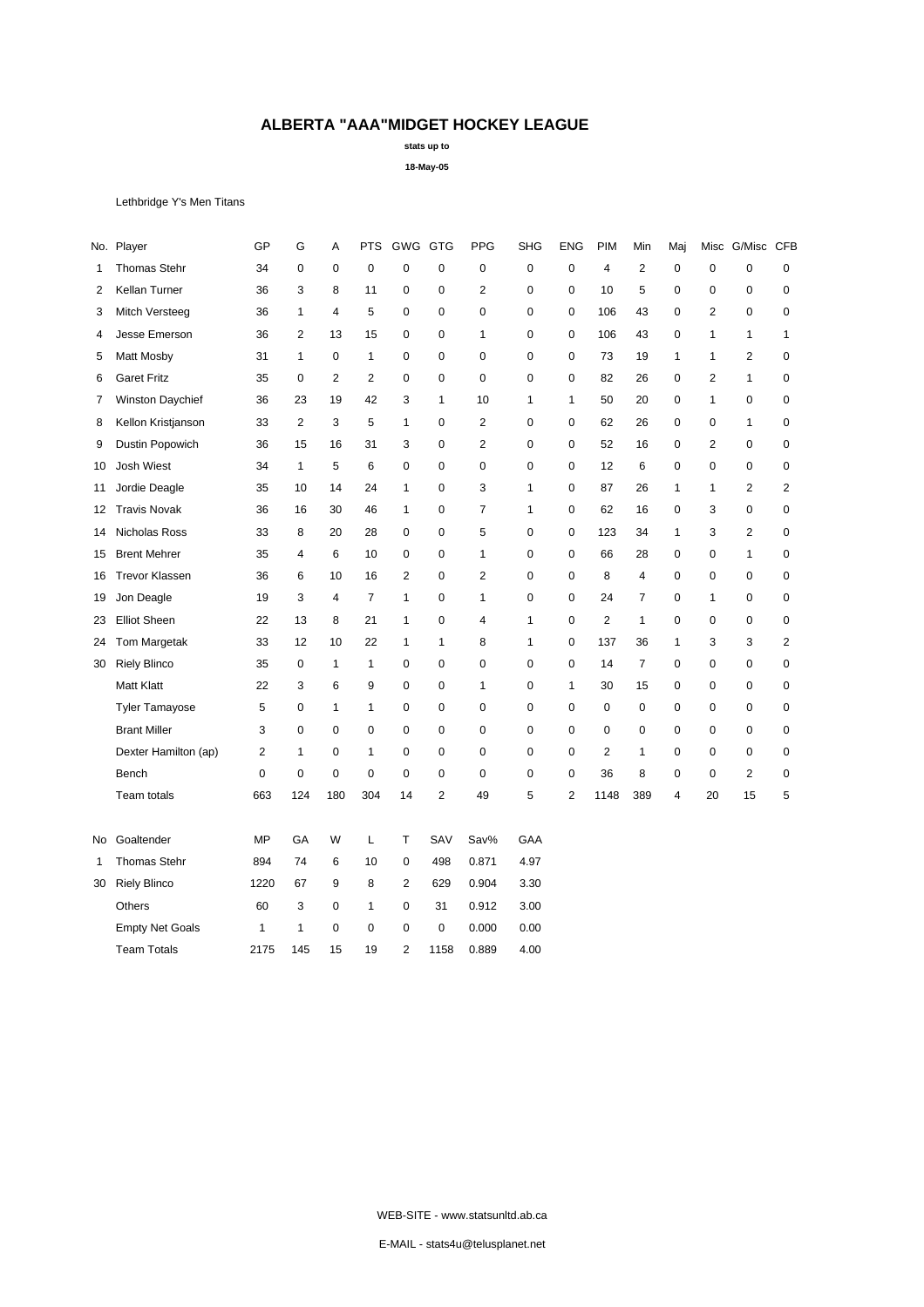**stats up to**

**18-May-05**

Lethbridge Y's Men Titans

|    | No. Player             | GP        | G              | Α              | <b>PTS</b>     | GWG GTG        |              | <b>PPG</b>     | <b>SHG</b>   | <b>ENG</b>     | <b>PIM</b>     | Min            | Maj | Misc           | G/Misc           | <b>CFB</b>   |
|----|------------------------|-----------|----------------|----------------|----------------|----------------|--------------|----------------|--------------|----------------|----------------|----------------|-----|----------------|------------------|--------------|
| 1  | Thomas Stehr           | 34        | 0              | 0              | $\mathbf 0$    | $\mathbf 0$    | 0            | $\pmb{0}$      | $\pmb{0}$    | $\mathbf 0$    | 4              | $\overline{2}$ | 0   | $\mathbf 0$    | $\pmb{0}$        | 0            |
| 2  | Kellan Turner          | 36        | 3              | 8              | 11             | 0              | 0            | $\overline{c}$ | $\mathbf 0$  | $\pmb{0}$      | 10             | 5              | 0   | $\mathbf 0$    | 0                | $\pmb{0}$    |
| 3  | Mitch Versteeg         | 36        | 1              | 4              | 5              | 0              | 0            | 0              | 0            | $\mathbf 0$    | 106            | 43             | 0   | 2              | $\mathbf 0$      | 0            |
| 4  | Jesse Emerson          | 36        | 2              | 13             | 15             | 0              | $\mathbf 0$  | 1              | 0            | $\mathbf 0$    | 106            | 43             | 0   | $\mathbf{1}$   | 1                | $\mathbf{1}$ |
| 5  | Matt Mosby             | 31        | $\mathbf{1}$   | $\mathbf 0$    | $\mathbf{1}$   | 0              | 0            | 0              | $\mathbf 0$  | 0              | 73             | 19             | 1   | 1              | $\overline{2}$   | $\pmb{0}$    |
| 6  | <b>Garet Fritz</b>     | 35        | 0              | $\overline{2}$ | $\overline{2}$ | 0              | 0            | 0              | 0            | $\mathbf 0$    | 82             | 26             | 0   | 2              | 1                | 0            |
| 7  | Winston Daychief       | 36        | 23             | 19             | 42             | 3              | $\mathbf{1}$ | 10             | 1            | $\mathbf{1}$   | 50             | 20             | 0   | $\mathbf{1}$   | $\boldsymbol{0}$ | $\pmb{0}$    |
| 8  | Kellon Kristjanson     | 33        | $\overline{2}$ | 3              | 5              | $\mathbf{1}$   | $\mathbf 0$  | $\overline{c}$ | $\mathbf 0$  | $\mathbf 0$    | 62             | 26             | 0   | $\mathbf 0$    | $\mathbf{1}$     | $\pmb{0}$    |
| 9  | Dustin Popowich        | 36        | 15             | 16             | 31             | 3              | $\mathbf 0$  | $\overline{c}$ | 0            | $\mathbf 0$    | 52             | 16             | 0   | $\overline{2}$ | $\mathbf 0$      | $\pmb{0}$    |
| 10 | <b>Josh Wiest</b>      | 34        | $\mathbf{1}$   | 5              | 6              | 0              | $\mathbf 0$  | 0              | 0            | $\mathbf 0$    | 12             | 6              | 0   | 0              | $\mathbf 0$      | 0            |
| 11 | Jordie Deagle          | 35        | 10             | 14             | 24             | $\mathbf{1}$   | 0            | 3              | $\mathbf{1}$ | 0              | 87             | 26             | 1   | 1              | $\overline{2}$   | 2            |
| 12 | <b>Travis Novak</b>    | 36        | 16             | 30             | 46             | $\mathbf{1}$   | 0            | 7              | $\mathbf{1}$ | $\mathbf 0$    | 62             | 16             | 0   | 3              | $\boldsymbol{0}$ | $\pmb{0}$    |
| 14 | Nicholas Ross          | 33        | 8              | 20             | 28             | 0              | $\mathbf 0$  | 5              | 0            | $\mathbf 0$    | 123            | 34             | 1   | 3              | $\overline{2}$   | $\mathbf 0$  |
| 15 | <b>Brent Mehrer</b>    | 35        | 4              | 6              | 10             | $\mathbf 0$    | 0            | 1              | $\mathbf 0$  | 0              | 66             | 28             | 0   | $\pmb{0}$      | 1                | $\pmb{0}$    |
| 16 | <b>Trevor Klassen</b>  | 36        | 6              | 10             | 16             | $\overline{2}$ | $\mathbf 0$  | $\overline{c}$ | $\mathbf 0$  | $\mathbf 0$    | 8              | $\overline{4}$ | 0   | $\mathbf 0$    | $\pmb{0}$        | $\pmb{0}$    |
| 19 | Jon Deagle             | 19        | 3              | $\overline{4}$ | $\overline{7}$ | 1              | $\mathbf 0$  | 1              | 0            | $\mathbf 0$    | 24             | $\overline{7}$ | 0   | 1              | $\mathbf 0$      | 0            |
| 23 | <b>Elliot Sheen</b>    | 22        | 13             | 8              | 21             | $\mathbf{1}$   | 0            | 4              | $\mathbf{1}$ | $\mathbf 0$    | 2              | $\mathbf{1}$   | 0   | 0              | $\mathbf 0$      | $\pmb{0}$    |
| 24 | Tom Margetak           | 33        | 12             | 10             | 22             | 1              | 1            | 8              | $\mathbf{1}$ | 0              | 137            | 36             | 1   | 3              | 3                | 2            |
| 30 | <b>Riely Blinco</b>    | 35        | 0              | 1              | 1              | 0              | 0            | 0              | 0            | 0              | 14             | $\overline{7}$ | 0   | 0              | 0                | 0            |
|    | <b>Matt Klatt</b>      | 22        | 3              | 6              | 9              | 0              | 0            | 1              | 0            | $\mathbf{1}$   | 30             | 15             | 0   | 0              | $\mathbf 0$      | $\mathbf 0$  |
|    | <b>Tyler Tamayose</b>  | 5         | 0              | 1              | 1              | 0              | 0            | 0              | $\mathbf 0$  | $\mathbf 0$    | $\mathbf 0$    | 0              | 0   | $\mathbf 0$    | $\mathbf 0$      | $\pmb{0}$    |
|    | <b>Brant Miller</b>    | 3         | $\mathbf 0$    | 0              | $\mathbf 0$    | 0              | $\mathbf 0$  | 0              | $\mathbf 0$  | $\mathbf 0$    | $\mathbf 0$    | $\mathbf 0$    | 0   | $\mathbf 0$    | $\mathbf 0$      | $\pmb{0}$    |
|    | Dexter Hamilton (ap)   | 2         | $\mathbf{1}$   | 0              | 1              | 0              | $\mathbf 0$  | 0              | 0            | $\mathbf 0$    | $\overline{2}$ | $\mathbf{1}$   | 0   | $\mathbf 0$    | $\mathbf 0$      | 0            |
|    | Bench                  | 0         | $\mathbf 0$    | 0              | $\mathbf 0$    | 0              | 0            | 0              | $\mathbf 0$  | $\pmb{0}$      | 36             | 8              | 0   | 0              | $\overline{2}$   | $\pmb{0}$    |
|    | Team totals            | 663       | 124            | 180            | 304            | 14             | 2            | 49             | 5            | $\overline{2}$ | 1148           | 389            | 4   | 20             | 15               | 5            |
| No | Goaltender             | <b>MP</b> | GA             | W              | L              | т              | SAV          | Sav%           | GAA          |                |                |                |     |                |                  |              |
| 1  | <b>Thomas Stehr</b>    | 894       | 74             | 6              | 10             | 0              | 498          | 0.871          | 4.97         |                |                |                |     |                |                  |              |
| 30 | <b>Riely Blinco</b>    | 1220      | 67             | 9              | 8              | 2              | 629          | 0.904          | 3.30         |                |                |                |     |                |                  |              |
|    | Others                 | 60        | 3              | $\mathbf 0$    | $\mathbf{1}$   | $\mathbf 0$    | 31           | 0.912          | 3.00         |                |                |                |     |                |                  |              |
|    | <b>Empty Net Goals</b> | 1         | $\mathbf{1}$   | 0              | $\mathbf 0$    | 0              | 0            | 0.000          | 0.00         |                |                |                |     |                |                  |              |
|    | <b>Team Totals</b>     | 2175      | 145            | 15             | 19             | $\overline{2}$ | 1158         | 0.889          | 4.00         |                |                |                |     |                |                  |              |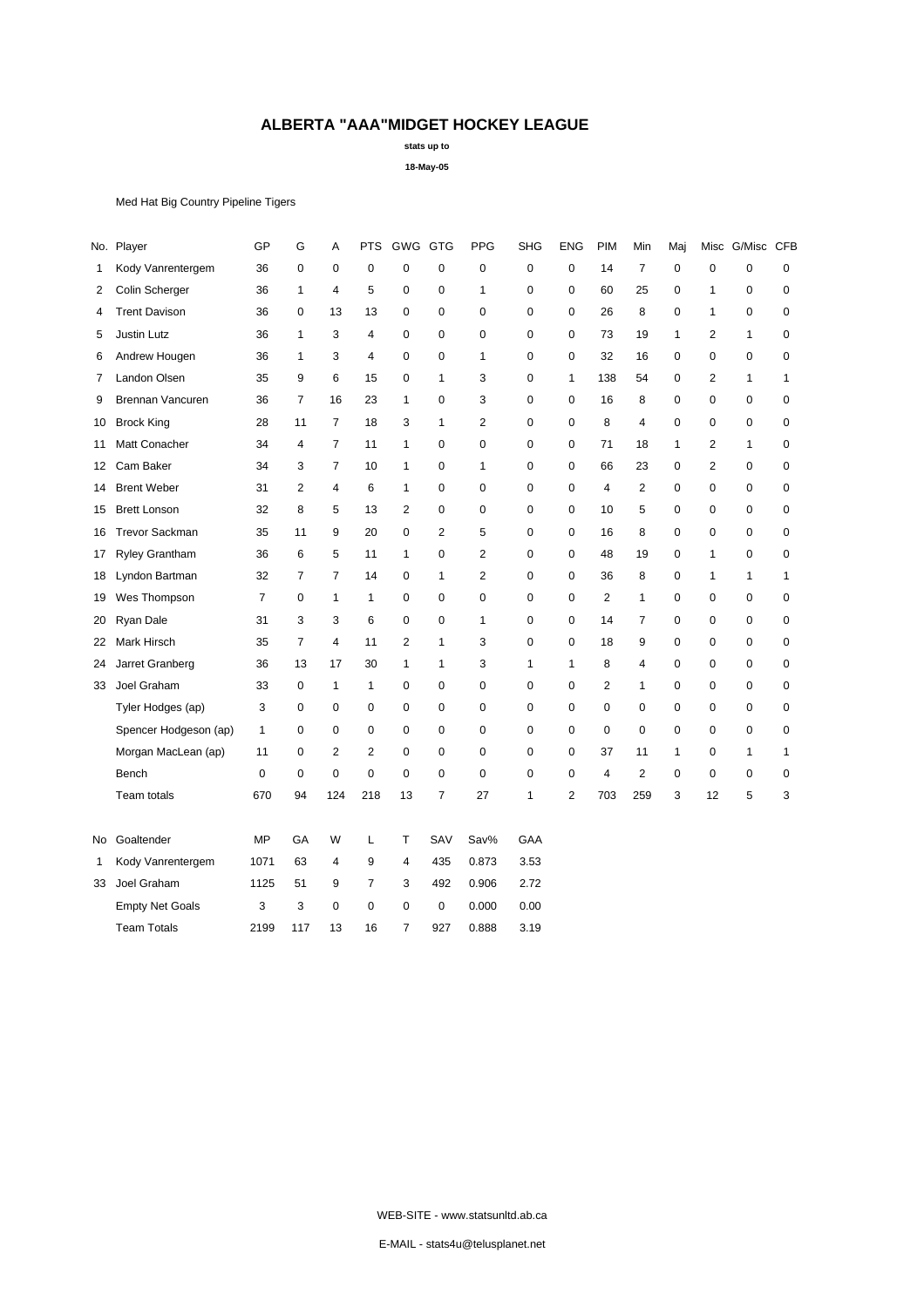**stats up to**

**18-May-05**

Med Hat Big Country Pipeline Tigers

|                        | GP           | G              | А                       | <b>PTS</b>     |                |                | <b>PPG</b>     | <b>SHG</b>   | <b>ENG</b>     | PIM            | Min            | Maj          |                         |             | <b>CFB</b>   |
|------------------------|--------------|----------------|-------------------------|----------------|----------------|----------------|----------------|--------------|----------------|----------------|----------------|--------------|-------------------------|-------------|--------------|
| Kody Vanrentergem      | 36           | 0              | 0                       | $\mathbf 0$    | 0              | 0              | 0              | $\mathbf 0$  | $\mathbf 0$    | 14             | $\overline{7}$ | 0            | 0                       | $\mathbf 0$ | 0            |
| Colin Scherger         | 36           | $\mathbf{1}$   | $\overline{4}$          | 5              | 0              | 0              | $\mathbf{1}$   | $\mathbf 0$  | $\mathbf 0$    | 60             | 25             | 0            | $\mathbf{1}$            | $\mathbf 0$ | $\pmb{0}$    |
| <b>Trent Davison</b>   | 36           | 0              | 13                      | 13             | 0              | 0              | 0              | 0            | $\mathbf 0$    | 26             | 8              | 0            | 1                       | $\mathbf 0$ | $\pmb{0}$    |
| Justin Lutz            | 36           | 1              | 3                       | 4              | 0              | $\mathbf 0$    | 0              | 0            | $\mathbf 0$    | 73             | 19             | 1            | 2                       | 1           | $\mathbf 0$  |
| Andrew Hougen          | 36           | $\mathbf{1}$   | 3                       | 4              | 0              | 0              | 1              | $\mathbf 0$  | $\mathbf 0$    | 32             | 16             | 0            | $\mathbf 0$             | $\mathbf 0$ | $\pmb{0}$    |
| Landon Olsen           | 35           | 9              | 6                       | 15             | 0              | $\mathbf{1}$   | 3              | $\mathbf 0$  | $\mathbf{1}$   | 138            | 54             | 0            | $\overline{2}$          | 1           | $\mathbf{1}$ |
| Brennan Vancuren       | 36           | $\overline{7}$ | 16                      | 23             | 1              | 0              | 3              | 0            | $\mathbf 0$    | 16             | 8              | 0            | 0                       | $\mathbf 0$ | 0            |
| <b>Brock King</b>      | 28           | 11             | $\overline{7}$          | 18             | 3              | $\mathbf{1}$   | $\overline{2}$ | $\mathbf 0$  | $\mathbf 0$    | 8              | $\overline{4}$ | 0            | 0                       | $\mathbf 0$ | $\pmb{0}$    |
| Matt Conacher          | 34           | 4              | 7                       | 11             | $\mathbf{1}$   | 0              | 0              | $\pmb{0}$    | $\mathsf 0$    | 71             | 18             | $\mathbf{1}$ | $\overline{\mathbf{c}}$ | 1           | $\pmb{0}$    |
| Cam Baker              | 34           | 3              | 7                       | 10             | 1              | 0              | 1              | 0            | $\mathbf 0$    | 66             | 23             | 0            | $\overline{2}$          | 0           | 0            |
| <b>Brent Weber</b>     | 31           | $\overline{2}$ | $\overline{4}$          | 6              | $\mathbf{1}$   | $\pmb{0}$      | 0              | $\mathbf 0$  | $\mathbf 0$    | $\overline{4}$ | $\mathbf{2}$   | 0            | $\mathbf 0$             | $\mathbf 0$ | $\pmb{0}$    |
| <b>Brett Lonson</b>    | 32           | 8              | 5                       | 13             | $\overline{2}$ | 0              | 0              | $\mathbf 0$  | $\mathbf 0$    | 10             | 5              | 0            | $\mathbf 0$             | $\mathbf 0$ | $\pmb{0}$    |
| <b>Trevor Sackman</b>  | 35           | 11             | 9                       | 20             | 0              | $\overline{2}$ | 5              | 0            | 0              | 16             | 8              | 0            | 0                       | $\mathbf 0$ | $\mathbf 0$  |
| <b>Ryley Grantham</b>  | 36           | 6              | 5                       | 11             | $\mathbf{1}$   | 0              | $\overline{c}$ | 0            | $\mathbf 0$    | 48             | 19             | 0            | 1                       | $\mathbf 0$ | $\pmb{0}$    |
| Lyndon Bartman         | 32           | $\overline{7}$ | $\overline{7}$          | 14             | $\mathbf 0$    | $\mathbf{1}$   | $\overline{2}$ | $\mathbf 0$  | $\mathsf 0$    | 36             | 8              | 0            | $\mathbf{1}$            | 1           | 1            |
| Wes Thompson           | 7            | 0              | 1                       | 1              | 0              | 0              | 0              | 0            | $\mathbf 0$    | $\overline{2}$ | 1              | 0            | 0                       | 0           | 0            |
| Ryan Dale              | 31           | 3              | 3                       | 6              | 0              | 0              | 1              | $\mathbf 0$  | $\mathbf 0$    | 14             | $\overline{7}$ | 0            | $\mathbf 0$             | $\mathbf 0$ | $\pmb{0}$    |
| Mark Hirsch            | 35           | $\overline{7}$ | $\overline{\mathbf{4}}$ | 11             | $\overline{2}$ | 1              | 3              | $\mathbf 0$  | $\mathbf 0$    | 18             | 9              | 0            | $\mathbf 0$             | $\mathbf 0$ | $\pmb{0}$    |
| Jarret Granberg        | 36           | 13             | 17                      | 30             | 1              | 1              | 3              | $\mathbf{1}$ | $\mathbf{1}$   | 8              | $\overline{4}$ | 0            | 0                       | $\mathbf 0$ | 0            |
| Joel Graham            | 33           | 0              | $\mathbf{1}$            | 1              | 0              | 0              | 0              | 0            | $\mathbf 0$    | $\overline{2}$ | $\mathbf{1}$   | 0            | 0                       | $\mathbf 0$ | 0            |
| Tyler Hodges (ap)      | 3            | 0              | 0                       | $\mathbf 0$    | 0              | 0              | 0              | 0            | $\pmb{0}$      | $\mathbf 0$    | $\pmb{0}$      | 0            | $\mathbf 0$             | $\mathbf 0$ | 0            |
| Spencer Hodgeson (ap)  | $\mathbf{1}$ | $\pmb{0}$      | 0                       | $\mathbf 0$    | 0              | 0              | 0              | $\pmb{0}$    | $\pmb{0}$      | $\mathbf 0$    | $\pmb{0}$      | 0            | $\mathbf 0$             | $\mathbf 0$ | $\pmb{0}$    |
| Morgan MacLean (ap)    | 11           | 0              | 2                       | $\overline{2}$ | 0              | $\mathbf 0$    | 0              | $\mathbf 0$  | $\mathbf 0$    | 37             | 11             | 1            | 0                       | 1           | 1            |
| Bench                  | $\mathbf 0$  | $\mathbf 0$    | $\mathbf 0$             | $\mathbf 0$    | 0              | 0              | 0              | $\mathbf 0$  | $\mathbf 0$    | $\overline{4}$ | $\overline{2}$ | 0            | 0                       | $\mathbf 0$ | 0            |
| Team totals            | 670          | 94             | 124                     | 218            | 13             | $\overline{7}$ | 27             | $\mathbf{1}$ | $\overline{c}$ | 703            | 259            | 3            | 12                      | 5           | 3            |
| Goaltender             | <b>MP</b>    | GA             | W                       | L              | T              | SAV            | Sav%           | GAA          |                |                |                |              |                         |             |              |
| Kody Vanrentergem      | 1071         | 63             | $\overline{4}$          | 9              | $\overline{4}$ | 435            | 0.873          | 3.53         |                |                |                |              |                         |             |              |
| Joel Graham            | 1125         | 51             | 9                       | 7              | 3              | 492            | 0.906          | 2.72         |                |                |                |              |                         |             |              |
| <b>Empty Net Goals</b> | 3            | 3              | 0                       | $\mathbf 0$    | 0              | 0              | 0.000          | 0.00         |                |                |                |              |                         |             |              |
| <b>Team Totals</b>     | 2199         | 117            | 13                      | 16             | $\overline{7}$ | 927            | 0.888          | 3.19         |                |                |                |              |                         |             |              |
|                        | No. Player   |                |                         |                |                |                | GWG GTG        |              |                |                |                |              |                         |             | Misc G/Misc  |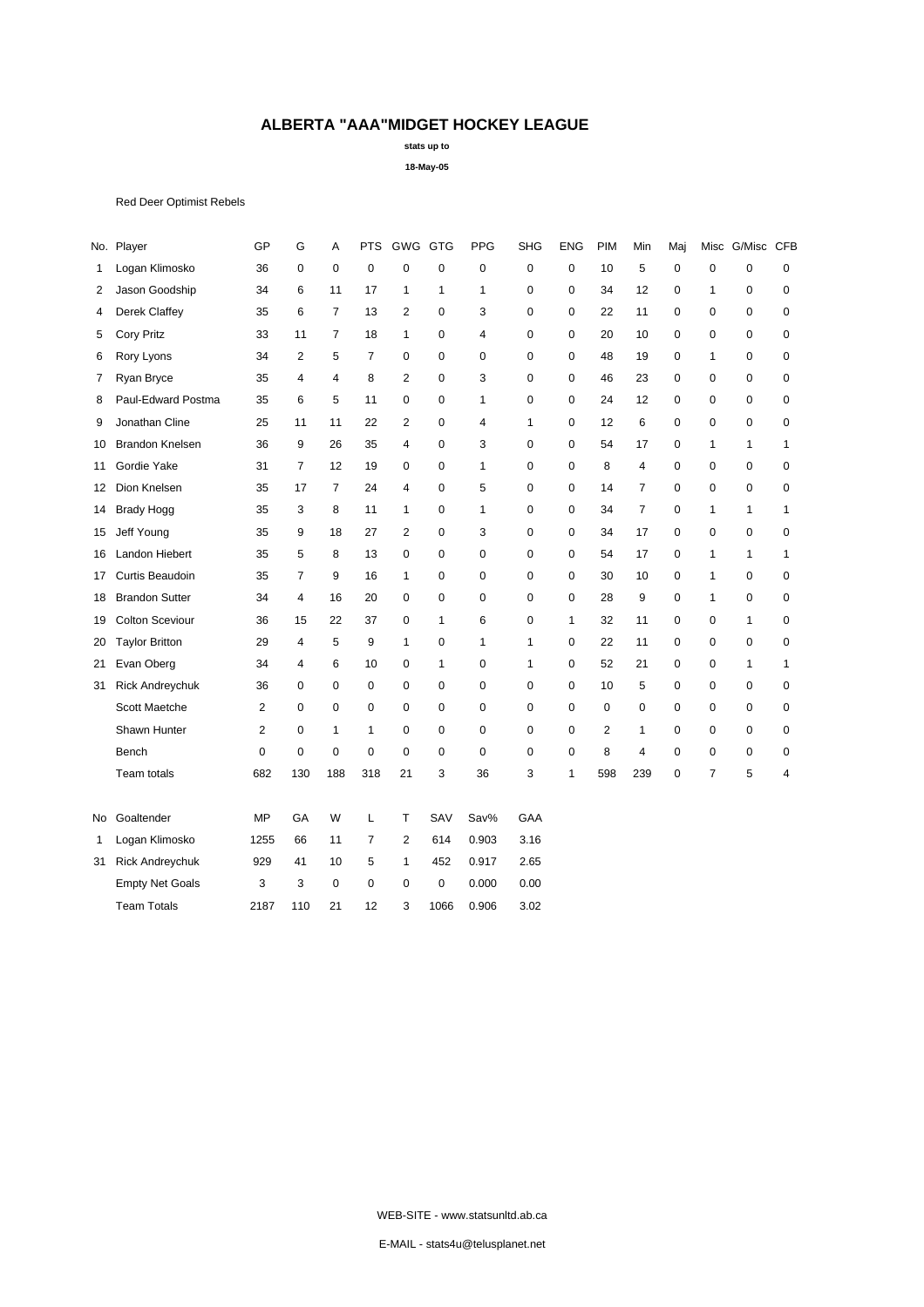**stats up to**

**18-May-05**

Red Deer Optimist Rebels

|    | No. Player             | GP             | G              | A              | <b>PTS</b>     | GWG GTG                 |              | <b>PPG</b>   | <b>SHG</b>   | <b>ENG</b>   | <b>PIM</b>  | Min            | Maj         | Misc           | G/Misc       | <b>CFB</b>     |
|----|------------------------|----------------|----------------|----------------|----------------|-------------------------|--------------|--------------|--------------|--------------|-------------|----------------|-------------|----------------|--------------|----------------|
| 1  | Logan Klimosko         | 36             | $\mathsf 0$    | $\pmb{0}$      | $\mathbf 0$    | $\pmb{0}$               | $\mathbf 0$  | $\mathbf 0$  | $\mathbf 0$  | $\mathsf 0$  | 10          | 5              | 0           | $\mathbf 0$    | 0            | 0              |
| 2  | Jason Goodship         | 34             | 6              | 11             | 17             | 1                       | 1            | 1            | $\mathbf 0$  | 0            | 34          | 12             | 0           | $\mathbf{1}$   | 0            | $\pmb{0}$      |
| 4  | Derek Claffey          | 35             | 6              | $\overline{7}$ | 13             | $\overline{c}$          | 0            | 3            | $\mathbf 0$  | 0            | 22          | 11             | $\mathbf 0$ | $\mathbf 0$    | 0            | $\pmb{0}$      |
| 5  | <b>Cory Pritz</b>      | 33             | 11             | $\overline{7}$ | 18             | $\mathbf{1}$            | $\mathbf 0$  | 4            | $\mathbf 0$  | 0            | 20          | 10             | 0           | 0              | $\mathbf 0$  | 0              |
| 6  | Rory Lyons             | 34             | 2              | 5              | $\overline{7}$ | $\mathbf 0$             | $\mathbf 0$  | $\mathbf 0$  | $\mathbf 0$  | $\mathbf 0$  | 48          | 19             | $\mathbf 0$ | $\mathbf{1}$   | $\mathbf 0$  | 0              |
| 7  | Ryan Bryce             | 35             | $\overline{4}$ | $\overline{4}$ | 8              | $\overline{2}$          | $\mathbf 0$  | 3            | $\mathbf 0$  | 0            | 46          | 23             | 0           | $\mathbf 0$    | 0            | $\pmb{0}$      |
| 8  | Paul-Edward Postma     | 35             | 6              | 5              | 11             | $\pmb{0}$               | $\mathbf 0$  | 1            | $\mathbf 0$  | 0            | 24          | 12             | 0           | 0              | $\mathbf 0$  | $\pmb{0}$      |
| 9  | Jonathan Cline         | 25             | 11             | 11             | 22             | $\overline{c}$          | $\mathbf 0$  | 4            | $\mathbf{1}$ | 0            | 12          | 6              | 0           | 0              | $\mathbf 0$  | $\pmb{0}$      |
| 10 | <b>Brandon Knelsen</b> | 36             | 9              | 26             | 35             | $\overline{\mathbf{4}}$ | $\mathbf 0$  | 3            | $\mathbf 0$  | $\mathbf 0$  | 54          | 17             | 0           | $\mathbf{1}$   | $\mathbf{1}$ | $\mathbf{1}$   |
| 11 | Gordie Yake            | 31             | $\overline{7}$ | 12             | 19             | $\mathbf 0$             | $\mathbf 0$  | 1            | $\mathbf 0$  | $\mathbf 0$  | 8           | 4              | $\mathbf 0$ | $\mathbf 0$    | 0            | 0              |
| 12 | Dion Knelsen           | 35             | 17             | $\overline{7}$ | 24             | $\overline{\mathbf{4}}$ | $\mathbf 0$  | 5            | $\mathbf 0$  | $\mathbf 0$  | 14          | $\overline{7}$ | 0           | 0              | $\mathbf 0$  | 0              |
| 14 | <b>Brady Hogg</b>      | 35             | 3              | 8              | 11             | $\mathbf{1}$            | $\mathbf 0$  | $\mathbf{1}$ | $\mathbf 0$  | 0            | 34          | $\overline{7}$ | $\mathbf 0$ | $\mathbf{1}$   | $\mathbf{1}$ | $\mathbf{1}$   |
| 15 | Jeff Young             | 35             | 9              | 18             | 27             | $\overline{2}$          | $\mathbf 0$  | 3            | $\mathbf 0$  | 0            | 34          | 17             | $\mathbf 0$ | $\mathbf 0$    | $\mathbf 0$  | $\pmb{0}$      |
| 16 | Landon Hiebert         | 35             | 5              | 8              | 13             | $\pmb{0}$               | 0            | 0            | $\mathbf 0$  | 0            | 54          | 17             | 0           | $\mathbf{1}$   | $\mathbf{1}$ | $\mathbf{1}$   |
| 17 | Curtis Beaudoin        | 35             | $\overline{7}$ | 9              | 16             | $\mathbf{1}$            | $\mathbf 0$  | $\mathbf 0$  | $\mathbf 0$  | $\mathbf 0$  | 30          | 10             | 0           | $\mathbf{1}$   | 0            | 0              |
| 18 | <b>Brandon Sutter</b>  | 34             | 4              | 16             | 20             | $\mathbf 0$             | $\mathbf 0$  | $\mathbf 0$  | $\mathbf 0$  | $\mathbf 0$  | 28          | 9              | 0           | $\mathbf{1}$   | $\mathbf 0$  | 0              |
| 19 | <b>Colton Sceviour</b> | 36             | 15             | 22             | 37             | $\mathbf 0$             | $\mathbf{1}$ | 6            | $\mathbf 0$  | $\mathbf{1}$ | 32          | 11             | 0           | 0              | $\mathbf{1}$ | 0              |
| 20 | <b>Taylor Britton</b>  | 29             | 4              | 5              | 9              | $\mathbf{1}$            | $\mathbf 0$  | 1            | $\mathbf{1}$ | 0            | 22          | 11             | 0           | 0              | $\mathbf 0$  | $\pmb{0}$      |
| 21 | Evan Oberg             | 34             | 4              | 6              | 10             | $\mathbf 0$             | $\mathbf{1}$ | 0            | $\mathbf{1}$ | 0            | 52          | 21             | 0           | 0              | $\mathbf{1}$ | $\mathbf{1}$   |
| 31 | <b>Rick Andreychuk</b> | 36             | 0              | $\mathbf 0$    | $\mathbf 0$    | $\mathbf 0$             | 0            | $\mathbf 0$  | $\mathbf 0$  | 0            | 10          | 5              | $\pmb{0}$   | 0              | $\pmb{0}$    | $\pmb{0}$      |
|    | Scott Maetche          | $\overline{2}$ | $\mathbf 0$    | $\mathbf 0$    | $\mathbf 0$    | $\mathbf 0$             | $\mathbf 0$  | $\mathbf 0$  | $\mathbf 0$  | $\mathbf 0$  | $\mathbf 0$ | $\mathbf 0$    | $\mathbf 0$ | 0              | 0            | 0              |
|    | Shawn Hunter           | $\overline{2}$ | 0              | 1              | $\mathbf{1}$   | $\mathbf 0$             | $\mathbf 0$  | $\mathbf 0$  | $\mathbf 0$  | $\mathbf 0$  | 2           | 1              | 0           | 0              | 0            | 0              |
|    | Bench                  | 0              | $\mathbf 0$    | 0              | $\pmb{0}$      | $\mathbf 0$             | $\mathbf 0$  | $\mathbf 0$  | $\mathbf 0$  | 0            | 8           | 4              | 0           | 0              | 0            | 0              |
|    | Team totals            | 682            | 130            | 188            | 318            | 21                      | 3            | 36           | 3            | 1            | 598         | 239            | $\mathbf 0$ | $\overline{7}$ | 5            | $\overline{4}$ |
| No | Goaltender             | <b>MP</b>      | GA             | W              | L              | T                       | SAV          | Sav%         | GAA          |              |             |                |             |                |              |                |
| 1  | Logan Klimosko         | 1255           | 66             | 11             | $\overline{7}$ | $\overline{c}$          | 614          | 0.903        | 3.16         |              |             |                |             |                |              |                |
| 31 | <b>Rick Andreychuk</b> | 929            | 41             | 10             | 5              | $\mathbf{1}$            | 452          | 0.917        | 2.65         |              |             |                |             |                |              |                |
|    | <b>Empty Net Goals</b> | 3              | 3              | $\mathbf 0$    | $\mathbf 0$    | 0                       | 0            | 0.000        | 0.00         |              |             |                |             |                |              |                |
|    | <b>Team Totals</b>     | 2187           | 110            | 21             | 12             | 3                       | 1066         | 0.906        | 3.02         |              |             |                |             |                |              |                |
|    |                        |                |                |                |                |                         |              |              |              |              |             |                |             |                |              |                |